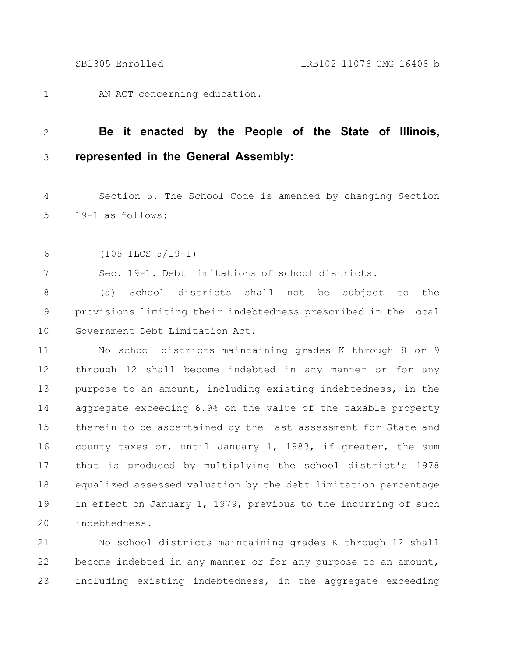AN ACT concerning education. 1

## **Be it enacted by the People of the State of Illinois, represented in the General Assembly:** 2 3

Section 5. The School Code is amended by changing Section 19-1 as follows: 4 5

(105 ILCS 5/19-1) 6

7

Sec. 19-1. Debt limitations of school districts.

(a) School districts shall not be subject to the provisions limiting their indebtedness prescribed in the Local Government Debt Limitation Act. 8 9 10

No school districts maintaining grades K through 8 or 9 through 12 shall become indebted in any manner or for any purpose to an amount, including existing indebtedness, in the aggregate exceeding 6.9% on the value of the taxable property therein to be ascertained by the last assessment for State and county taxes or, until January 1, 1983, if greater, the sum that is produced by multiplying the school district's 1978 equalized assessed valuation by the debt limitation percentage in effect on January 1, 1979, previous to the incurring of such indebtedness. 11 12 13 14 15 16 17 18 19 20

No school districts maintaining grades K through 12 shall become indebted in any manner or for any purpose to an amount, including existing indebtedness, in the aggregate exceeding 21 22 23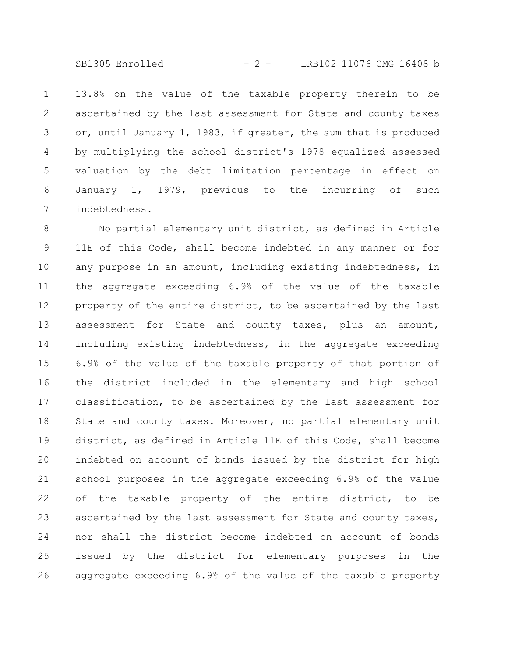SB1305 Enrolled - 2 - LRB102 11076 CMG 16408 b

13.8% on the value of the taxable property therein to be ascertained by the last assessment for State and county taxes or, until January 1, 1983, if greater, the sum that is produced by multiplying the school district's 1978 equalized assessed valuation by the debt limitation percentage in effect on January 1, 1979, previous to the incurring of such indebtedness. 1 2 3 4 5 6 7

No partial elementary unit district, as defined in Article 11E of this Code, shall become indebted in any manner or for any purpose in an amount, including existing indebtedness, in the aggregate exceeding 6.9% of the value of the taxable property of the entire district, to be ascertained by the last assessment for State and county taxes, plus an amount, including existing indebtedness, in the aggregate exceeding 6.9% of the value of the taxable property of that portion of the district included in the elementary and high school classification, to be ascertained by the last assessment for State and county taxes. Moreover, no partial elementary unit district, as defined in Article 11E of this Code, shall become indebted on account of bonds issued by the district for high school purposes in the aggregate exceeding 6.9% of the value of the taxable property of the entire district, to be ascertained by the last assessment for State and county taxes, nor shall the district become indebted on account of bonds issued by the district for elementary purposes in the aggregate exceeding 6.9% of the value of the taxable property 8 9 10 11 12 13 14 15 16 17 18 19 20 21 22 23 24 25 26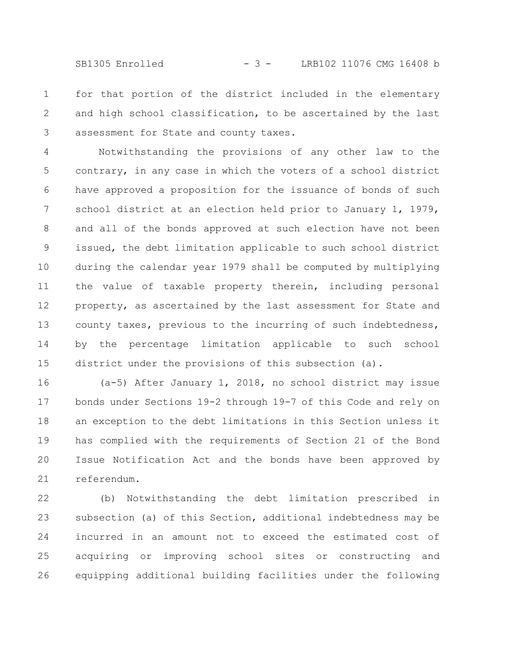SB1305 Enrolled - 3 - LRB102 11076 CMG 16408 b

for that portion of the district included in the elementary and high school classification, to be ascertained by the last assessment for State and county taxes. 1 2 3

Notwithstanding the provisions of any other law to the contrary, in any case in which the voters of a school district have approved a proposition for the issuance of bonds of such school district at an election held prior to January 1, 1979, and all of the bonds approved at such election have not been issued, the debt limitation applicable to such school district during the calendar year 1979 shall be computed by multiplying the value of taxable property therein, including personal property, as ascertained by the last assessment for State and county taxes, previous to the incurring of such indebtedness, by the percentage limitation applicable to such school district under the provisions of this subsection (a). 4 5 6 7 8 9 10 11 12 13 14 15

(a-5) After January 1, 2018, no school district may issue bonds under Sections 19-2 through 19-7 of this Code and rely on an exception to the debt limitations in this Section unless it has complied with the requirements of Section 21 of the Bond Issue Notification Act and the bonds have been approved by referendum. 16 17 18 19 20 21

(b) Notwithstanding the debt limitation prescribed in subsection (a) of this Section, additional indebtedness may be incurred in an amount not to exceed the estimated cost of acquiring or improving school sites or constructing and equipping additional building facilities under the following 22 23 24 25 26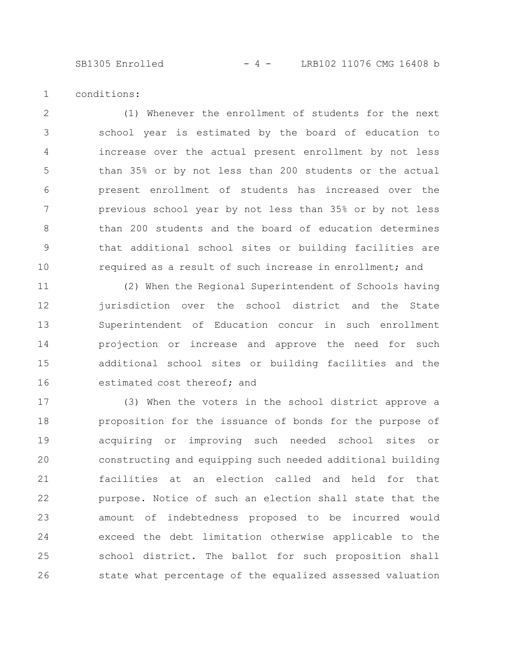conditions: 1

(1) Whenever the enrollment of students for the next school year is estimated by the board of education to increase over the actual present enrollment by not less than 35% or by not less than 200 students or the actual present enrollment of students has increased over the previous school year by not less than 35% or by not less than 200 students and the board of education determines that additional school sites or building facilities are required as a result of such increase in enrollment; and 2 3 4 5 6 7 8 9 10

(2) When the Regional Superintendent of Schools having jurisdiction over the school district and the State Superintendent of Education concur in such enrollment projection or increase and approve the need for such additional school sites or building facilities and the estimated cost thereof; and 11 12 13 14 15 16

(3) When the voters in the school district approve a proposition for the issuance of bonds for the purpose of acquiring or improving such needed school sites or constructing and equipping such needed additional building facilities at an election called and held for that purpose. Notice of such an election shall state that the amount of indebtedness proposed to be incurred would exceed the debt limitation otherwise applicable to the school district. The ballot for such proposition shall state what percentage of the equalized assessed valuation 17 18 19 20 21 22 23 24 25 26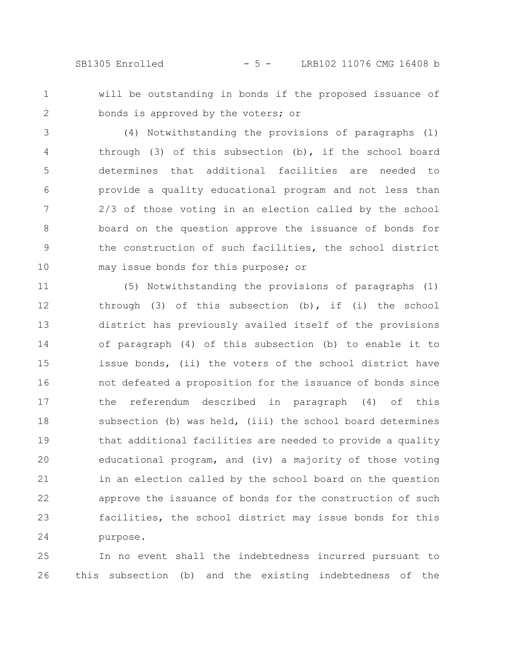SB1305 Enrolled - 5 - LRB102 11076 CMG 16408 b

1

2

will be outstanding in bonds if the proposed issuance of bonds is approved by the voters; or

(4) Notwithstanding the provisions of paragraphs (1) through (3) of this subsection (b), if the school board determines that additional facilities are needed to provide a quality educational program and not less than 2/3 of those voting in an election called by the school board on the question approve the issuance of bonds for the construction of such facilities, the school district may issue bonds for this purpose; or 3 4 5 6 7 8 9 10

(5) Notwithstanding the provisions of paragraphs (1) through (3) of this subsection (b), if (i) the school district has previously availed itself of the provisions of paragraph (4) of this subsection (b) to enable it to issue bonds, (ii) the voters of the school district have not defeated a proposition for the issuance of bonds since the referendum described in paragraph (4) of this subsection (b) was held, (iii) the school board determines that additional facilities are needed to provide a quality educational program, and (iv) a majority of those voting in an election called by the school board on the question approve the issuance of bonds for the construction of such facilities, the school district may issue bonds for this purpose. 11 12 13 14 15 16 17 18 19 20 21 22 23 24

In no event shall the indebtedness incurred pursuant to this subsection (b) and the existing indebtedness of the 25 26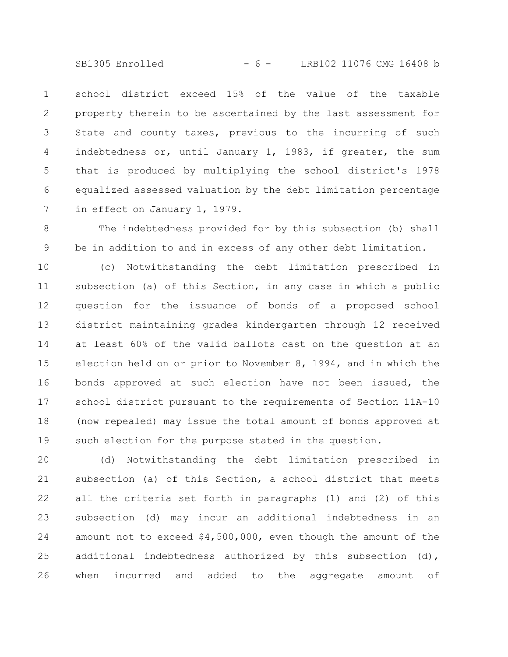SB1305 Enrolled - 6 - LRB102 11076 CMG 16408 b

school district exceed 15% of the value of the taxable property therein to be ascertained by the last assessment for State and county taxes, previous to the incurring of such indebtedness or, until January 1, 1983, if greater, the sum that is produced by multiplying the school district's 1978 equalized assessed valuation by the debt limitation percentage in effect on January 1, 1979. 1 2 3 4 5 6 7

The indebtedness provided for by this subsection (b) shall be in addition to and in excess of any other debt limitation. 8 9

(c) Notwithstanding the debt limitation prescribed in subsection (a) of this Section, in any case in which a public question for the issuance of bonds of a proposed school district maintaining grades kindergarten through 12 received at least 60% of the valid ballots cast on the question at an election held on or prior to November 8, 1994, and in which the bonds approved at such election have not been issued, the school district pursuant to the requirements of Section 11A-10 (now repealed) may issue the total amount of bonds approved at such election for the purpose stated in the question. 10 11 12 13 14 15 16 17 18 19

(d) Notwithstanding the debt limitation prescribed in subsection (a) of this Section, a school district that meets all the criteria set forth in paragraphs (1) and (2) of this subsection (d) may incur an additional indebtedness in an amount not to exceed \$4,500,000, even though the amount of the additional indebtedness authorized by this subsection (d), when incurred and added to the aggregate amount of 20 21 22 23 24 25 26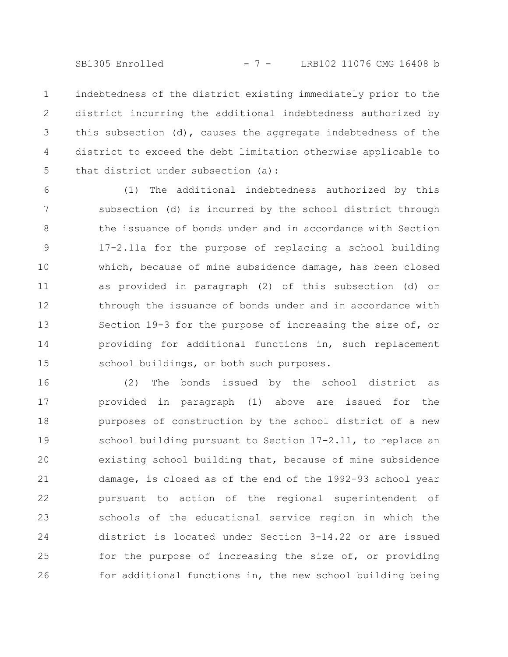SB1305 Enrolled - 7 - LRB102 11076 CMG 16408 b

indebtedness of the district existing immediately prior to the district incurring the additional indebtedness authorized by this subsection (d), causes the aggregate indebtedness of the district to exceed the debt limitation otherwise applicable to that district under subsection (a): 1 2 3 4 5

(1) The additional indebtedness authorized by this subsection (d) is incurred by the school district through the issuance of bonds under and in accordance with Section 17-2.11a for the purpose of replacing a school building which, because of mine subsidence damage, has been closed as provided in paragraph (2) of this subsection (d) or through the issuance of bonds under and in accordance with Section 19-3 for the purpose of increasing the size of, or providing for additional functions in, such replacement school buildings, or both such purposes. 6 7 8 9 10 11 12 13 14 15

(2) The bonds issued by the school district as provided in paragraph (1) above are issued for the purposes of construction by the school district of a new school building pursuant to Section 17-2.11, to replace an existing school building that, because of mine subsidence damage, is closed as of the end of the 1992-93 school year pursuant to action of the regional superintendent of schools of the educational service region in which the district is located under Section 3-14.22 or are issued for the purpose of increasing the size of, or providing for additional functions in, the new school building being 16 17 18 19 20 21 22 23 24 25 26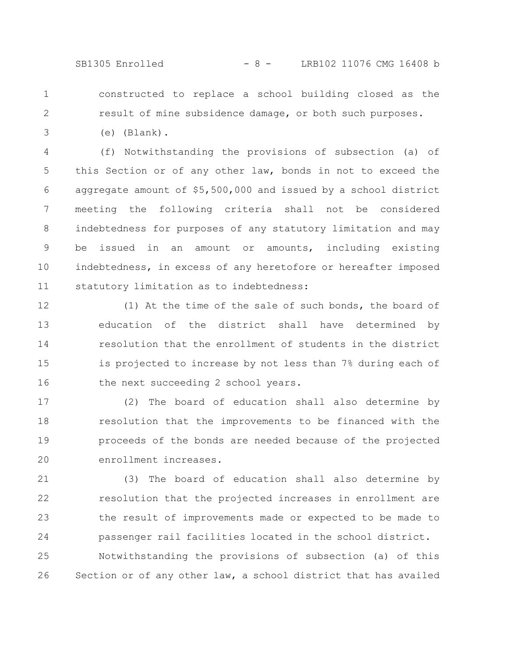SB1305 Enrolled - 8 - LRB102 11076 CMG 16408 b

1 2

3

constructed to replace a school building closed as the result of mine subsidence damage, or both such purposes.

(e) (Blank).

(f) Notwithstanding the provisions of subsection (a) of this Section or of any other law, bonds in not to exceed the aggregate amount of \$5,500,000 and issued by a school district meeting the following criteria shall not be considered indebtedness for purposes of any statutory limitation and may be issued in an amount or amounts, including existing indebtedness, in excess of any heretofore or hereafter imposed statutory limitation as to indebtedness: 4 5 6 7 8 9 10 11

(1) At the time of the sale of such bonds, the board of education of the district shall have determined by resolution that the enrollment of students in the district is projected to increase by not less than 7% during each of the next succeeding 2 school years. 12 13 14 15 16

(2) The board of education shall also determine by resolution that the improvements to be financed with the proceeds of the bonds are needed because of the projected enrollment increases. 17 18 19 20

(3) The board of education shall also determine by resolution that the projected increases in enrollment are the result of improvements made or expected to be made to passenger rail facilities located in the school district. 21 22 23 24

Notwithstanding the provisions of subsection (a) of this Section or of any other law, a school district that has availed 25 26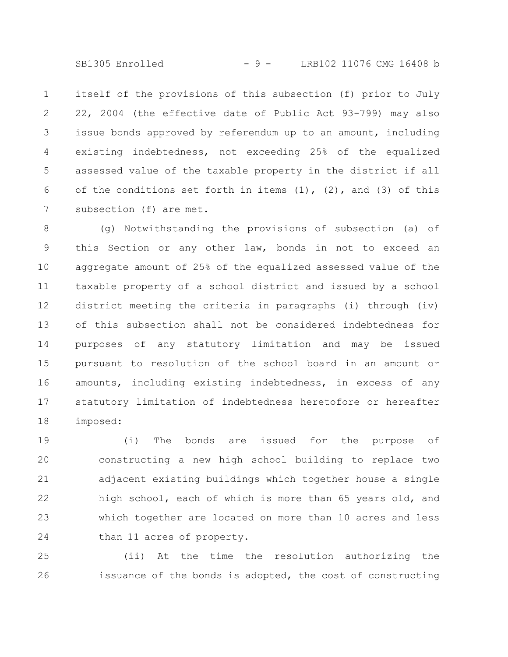SB1305 Enrolled - 9 - LRB102 11076 CMG 16408 b

itself of the provisions of this subsection (f) prior to July 22, 2004 (the effective date of Public Act 93-799) may also issue bonds approved by referendum up to an amount, including existing indebtedness, not exceeding 25% of the equalized assessed value of the taxable property in the district if all of the conditions set forth in items  $(1)$ ,  $(2)$ , and  $(3)$  of this subsection (f) are met. 1 2 3 4 5 6 7

(g) Notwithstanding the provisions of subsection (a) of this Section or any other law, bonds in not to exceed an aggregate amount of 25% of the equalized assessed value of the taxable property of a school district and issued by a school district meeting the criteria in paragraphs (i) through (iv) of this subsection shall not be considered indebtedness for purposes of any statutory limitation and may be issued pursuant to resolution of the school board in an amount or amounts, including existing indebtedness, in excess of any statutory limitation of indebtedness heretofore or hereafter imposed: 8 9 10 11 12 13 14 15 16 17 18

(i) The bonds are issued for the purpose of constructing a new high school building to replace two adjacent existing buildings which together house a single high school, each of which is more than 65 years old, and which together are located on more than 10 acres and less than 11 acres of property. 19 20 21 22 23 24

(ii) At the time the resolution authorizing the issuance of the bonds is adopted, the cost of constructing 25 26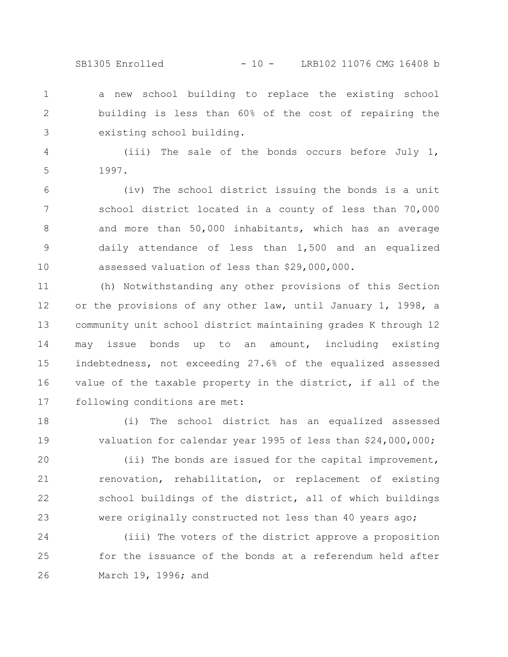a new school building to replace the existing school building is less than 60% of the cost of repairing the existing school building. 1 2 3

(iii) The sale of the bonds occurs before July 1, 1997. 4 5

(iv) The school district issuing the bonds is a unit school district located in a county of less than 70,000 and more than 50,000 inhabitants, which has an average daily attendance of less than 1,500 and an equalized assessed valuation of less than \$29,000,000. 6 7 8 9 10

(h) Notwithstanding any other provisions of this Section or the provisions of any other law, until January 1, 1998, a community unit school district maintaining grades K through 12 may issue bonds up to an amount, including existing indebtedness, not exceeding 27.6% of the equalized assessed value of the taxable property in the district, if all of the following conditions are met: 11 12 13 14 15 16 17

(i) The school district has an equalized assessed valuation for calendar year 1995 of less than \$24,000,000; 18 19

(ii) The bonds are issued for the capital improvement, renovation, rehabilitation, or replacement of existing school buildings of the district, all of which buildings were originally constructed not less than 40 years ago; 20 21 22 23

(iii) The voters of the district approve a proposition for the issuance of the bonds at a referendum held after March 19, 1996; and 24 25 26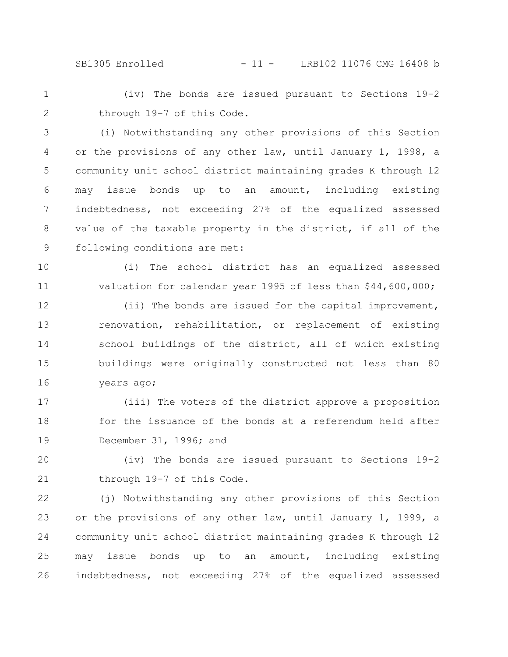SB1305 Enrolled - 11 - LRB102 11076 CMG 16408 b

(iv) The bonds are issued pursuant to Sections 19-2 through 19-7 of this Code. 1 2

(i) Notwithstanding any other provisions of this Section or the provisions of any other law, until January 1, 1998, a community unit school district maintaining grades K through 12 may issue bonds up to an amount, including existing indebtedness, not exceeding 27% of the equalized assessed value of the taxable property in the district, if all of the following conditions are met: 3 4 5 6 7 8 9

(i) The school district has an equalized assessed valuation for calendar year 1995 of less than \$44,600,000; 10 11

(ii) The bonds are issued for the capital improvement, renovation, rehabilitation, or replacement of existing school buildings of the district, all of which existing buildings were originally constructed not less than 80 years ago; 12 13 14 15 16

(iii) The voters of the district approve a proposition for the issuance of the bonds at a referendum held after December 31, 1996; and 17 18 19

(iv) The bonds are issued pursuant to Sections 19-2 through 19-7 of this Code. 20 21

(j) Notwithstanding any other provisions of this Section or the provisions of any other law, until January 1, 1999, a community unit school district maintaining grades K through 12 may issue bonds up to an amount, including existing indebtedness, not exceeding 27% of the equalized assessed 22 23 24 25 26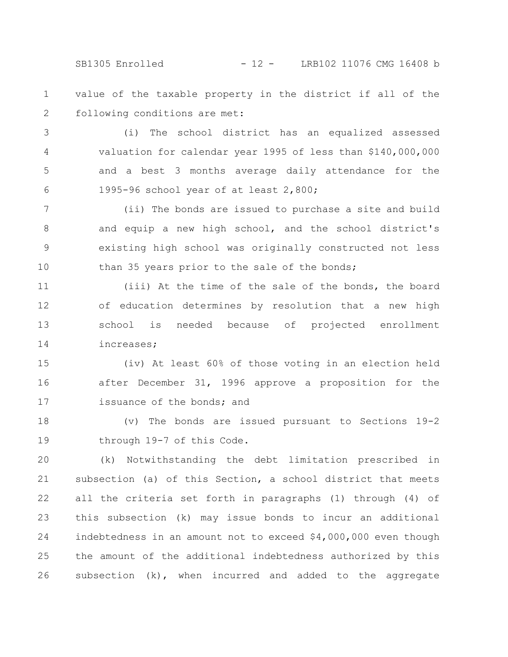SB1305 Enrolled - 12 - LRB102 11076 CMG 16408 b

value of the taxable property in the district if all of the following conditions are met: 1 2

(i) The school district has an equalized assessed valuation for calendar year 1995 of less than \$140,000,000 and a best 3 months average daily attendance for the 1995-96 school year of at least 2,800; 3 4 5 6

(ii) The bonds are issued to purchase a site and build and equip a new high school, and the school district's existing high school was originally constructed not less than 35 years prior to the sale of the bonds; 7 8 9 10

(iii) At the time of the sale of the bonds, the board of education determines by resolution that a new high school is needed because of projected enrollment increases; 11 12 13 14

(iv) At least 60% of those voting in an election held after December 31, 1996 approve a proposition for the issuance of the bonds; and 15 16 17

(v) The bonds are issued pursuant to Sections 19-2 through 19-7 of this Code. 18 19

(k) Notwithstanding the debt limitation prescribed in subsection (a) of this Section, a school district that meets all the criteria set forth in paragraphs (1) through (4) of this subsection (k) may issue bonds to incur an additional indebtedness in an amount not to exceed \$4,000,000 even though the amount of the additional indebtedness authorized by this subsection (k), when incurred and added to the aggregate 20 21 22 23 24 25 26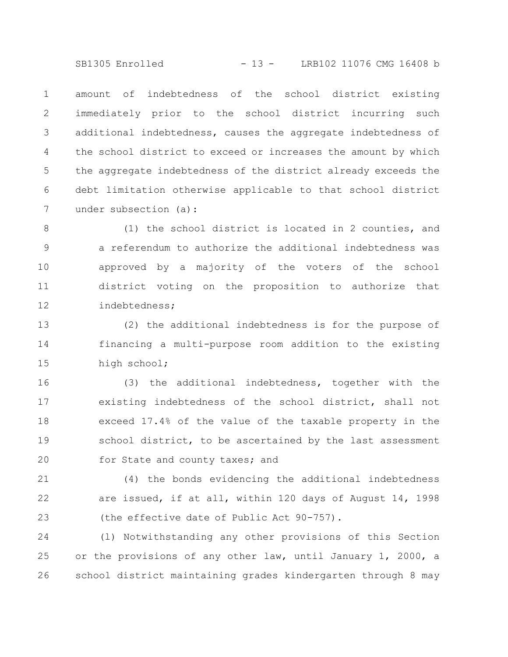SB1305 Enrolled - 13 - LRB102 11076 CMG 16408 b

amount of indebtedness of the school district existing immediately prior to the school district incurring such additional indebtedness, causes the aggregate indebtedness of the school district to exceed or increases the amount by which the aggregate indebtedness of the district already exceeds the debt limitation otherwise applicable to that school district under subsection (a): 1 2 3 4 5 6 7

(1) the school district is located in 2 counties, and a referendum to authorize the additional indebtedness was approved by a majority of the voters of the school district voting on the proposition to authorize that indebtedness; 8 9 10 11 12

(2) the additional indebtedness is for the purpose of financing a multi-purpose room addition to the existing high school; 13 14 15

(3) the additional indebtedness, together with the existing indebtedness of the school district, shall not exceed 17.4% of the value of the taxable property in the school district, to be ascertained by the last assessment for State and county taxes; and 16 17 18 19 20

(4) the bonds evidencing the additional indebtedness are issued, if at all, within 120 days of August 14, 1998 (the effective date of Public Act 90-757). 21 22 23

(l) Notwithstanding any other provisions of this Section or the provisions of any other law, until January 1, 2000, a school district maintaining grades kindergarten through 8 may 24 25 26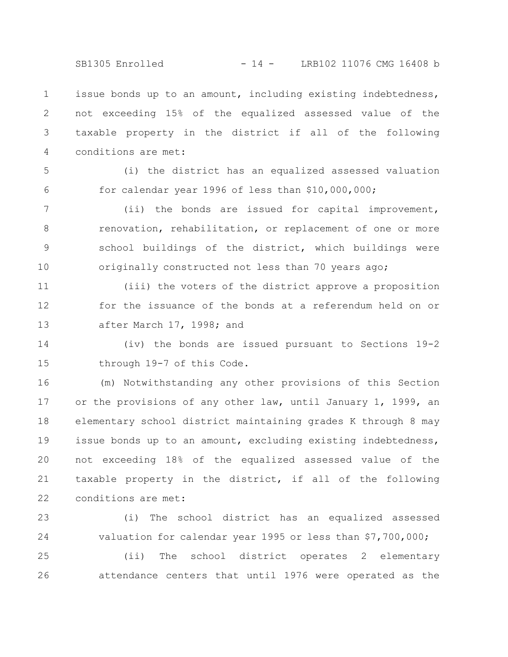SB1305 Enrolled - 14 - LRB102 11076 CMG 16408 b

issue bonds up to an amount, including existing indebtedness, not exceeding 15% of the equalized assessed value of the taxable property in the district if all of the following conditions are met: 1 2 3 4

5

6

(i) the district has an equalized assessed valuation for calendar year 1996 of less than \$10,000,000;

(ii) the bonds are issued for capital improvement, renovation, rehabilitation, or replacement of one or more school buildings of the district, which buildings were originally constructed not less than 70 years ago; 7 8 9 10

(iii) the voters of the district approve a proposition for the issuance of the bonds at a referendum held on or after March 17, 1998; and 11 12 13

(iv) the bonds are issued pursuant to Sections 19-2 through 19-7 of this Code. 14 15

(m) Notwithstanding any other provisions of this Section or the provisions of any other law, until January 1, 1999, an elementary school district maintaining grades K through 8 may issue bonds up to an amount, excluding existing indebtedness, not exceeding 18% of the equalized assessed value of the taxable property in the district, if all of the following conditions are met: 16 17 18 19 20 21 22

(i) The school district has an equalized assessed valuation for calendar year 1995 or less than \$7,700,000; 23 24

(ii) The school district operates 2 elementary attendance centers that until 1976 were operated as the 25 26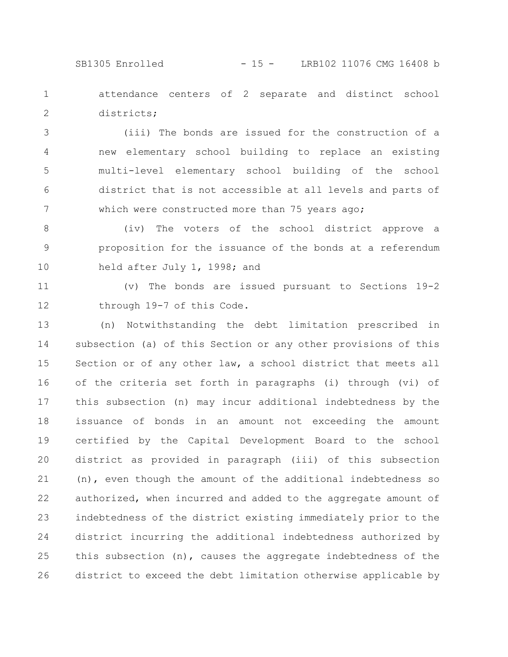SB1305 Enrolled - 15 - LRB102 11076 CMG 16408 b

attendance centers of 2 separate and distinct school districts; 1 2

(iii) The bonds are issued for the construction of a new elementary school building to replace an existing multi-level elementary school building of the school district that is not accessible at all levels and parts of which were constructed more than 75 years ago; 3 4 5 6 7

(iv) The voters of the school district approve a proposition for the issuance of the bonds at a referendum held after July 1, 1998; and 8 9 10

(v) The bonds are issued pursuant to Sections 19-2 through 19-7 of this Code. 11 12

(n) Notwithstanding the debt limitation prescribed in subsection (a) of this Section or any other provisions of this Section or of any other law, a school district that meets all of the criteria set forth in paragraphs (i) through (vi) of this subsection (n) may incur additional indebtedness by the issuance of bonds in an amount not exceeding the amount certified by the Capital Development Board to the school district as provided in paragraph (iii) of this subsection (n), even though the amount of the additional indebtedness so authorized, when incurred and added to the aggregate amount of indebtedness of the district existing immediately prior to the district incurring the additional indebtedness authorized by this subsection (n), causes the aggregate indebtedness of the district to exceed the debt limitation otherwise applicable by 13 14 15 16 17 18 19 20 21 22 23 24 25 26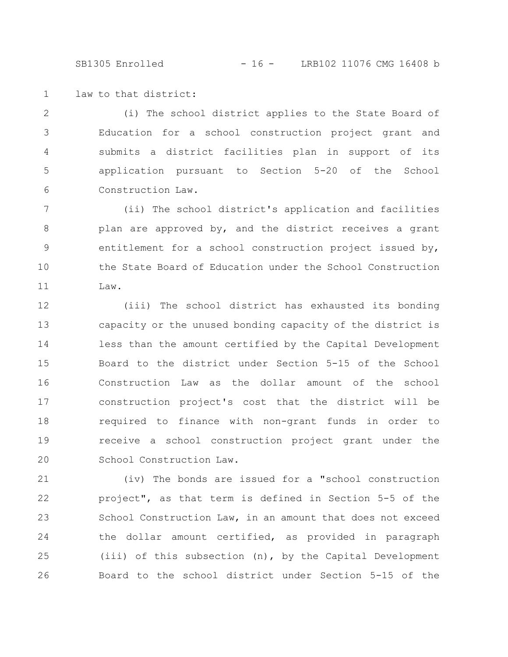SB1305 Enrolled - 16 - LRB102 11076 CMG 16408 b

law to that district: 1

(i) The school district applies to the State Board of Education for a school construction project grant and submits a district facilities plan in support of its application pursuant to Section 5-20 of the School Construction Law. 2 3 4 5 6

(ii) The school district's application and facilities plan are approved by, and the district receives a grant entitlement for a school construction project issued by, the State Board of Education under the School Construction Law. 7 8 9 10 11

(iii) The school district has exhausted its bonding capacity or the unused bonding capacity of the district is less than the amount certified by the Capital Development Board to the district under Section 5-15 of the School Construction Law as the dollar amount of the school construction project's cost that the district will be required to finance with non-grant funds in order to receive a school construction project grant under the School Construction Law. 12 13 14 15 16 17 18 19 20

(iv) The bonds are issued for a "school construction project", as that term is defined in Section 5-5 of the School Construction Law, in an amount that does not exceed the dollar amount certified, as provided in paragraph (iii) of this subsection (n), by the Capital Development Board to the school district under Section 5-15 of the 21 22 23 24 25 26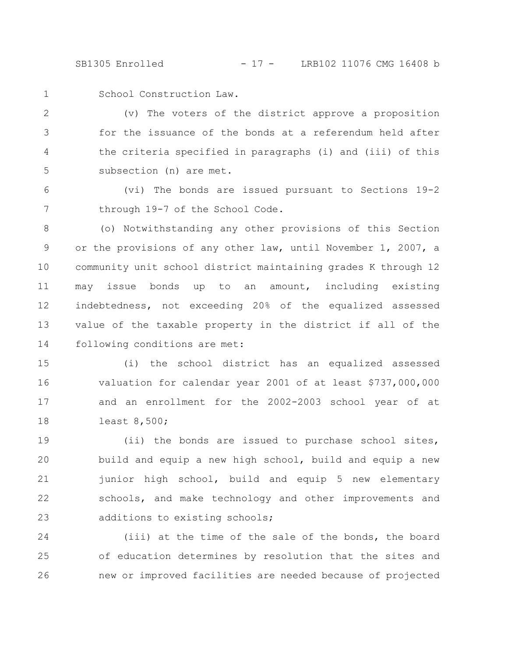SB1305 Enrolled - 17 - LRB102 11076 CMG 16408 b

1

School Construction Law.

(v) The voters of the district approve a proposition for the issuance of the bonds at a referendum held after the criteria specified in paragraphs (i) and (iii) of this subsection (n) are met. 2 3 4 5

(vi) The bonds are issued pursuant to Sections 19-2 through 19-7 of the School Code. 6 7

(o) Notwithstanding any other provisions of this Section or the provisions of any other law, until November 1, 2007, a community unit school district maintaining grades K through 12 may issue bonds up to an amount, including existing indebtedness, not exceeding 20% of the equalized assessed value of the taxable property in the district if all of the following conditions are met: 8 9 10 11 12 13 14

(i) the school district has an equalized assessed valuation for calendar year 2001 of at least \$737,000,000 and an enrollment for the 2002-2003 school year of at least 8,500; 15 16 17 18

(ii) the bonds are issued to purchase school sites, build and equip a new high school, build and equip a new junior high school, build and equip 5 new elementary schools, and make technology and other improvements and additions to existing schools; 19 20 21 22 23

(iii) at the time of the sale of the bonds, the board of education determines by resolution that the sites and new or improved facilities are needed because of projected 24 25 26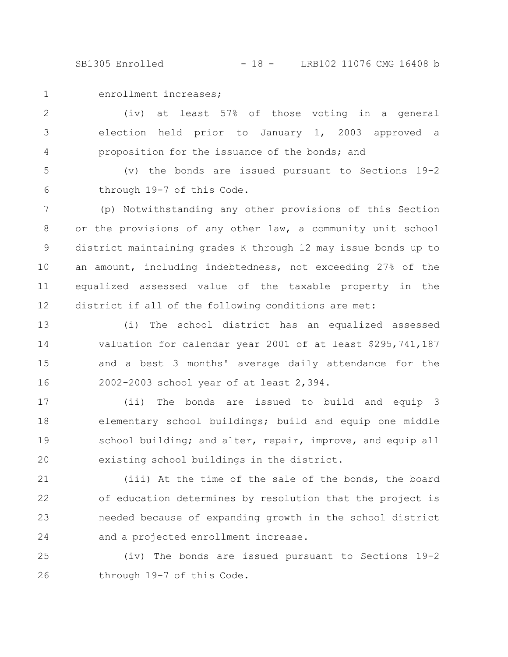SB1305 Enrolled - 18 - LRB102 11076 CMG 16408 b

1

enrollment increases;

(iv) at least 57% of those voting in a general election held prior to January 1, 2003 approved a proposition for the issuance of the bonds; and 2 3 4

(v) the bonds are issued pursuant to Sections 19-2 through 19-7 of this Code. 5 6

(p) Notwithstanding any other provisions of this Section or the provisions of any other law, a community unit school district maintaining grades K through 12 may issue bonds up to an amount, including indebtedness, not exceeding 27% of the equalized assessed value of the taxable property in the district if all of the following conditions are met: 7 8 9 10 11 12

(i) The school district has an equalized assessed valuation for calendar year 2001 of at least \$295,741,187 and a best 3 months' average daily attendance for the 2002-2003 school year of at least 2,394. 13 14 15 16

(ii) The bonds are issued to build and equip 3 elementary school buildings; build and equip one middle school building; and alter, repair, improve, and equip all existing school buildings in the district. 17 18 19 20

(iii) At the time of the sale of the bonds, the board of education determines by resolution that the project is needed because of expanding growth in the school district and a projected enrollment increase. 21 22 23 24

(iv) The bonds are issued pursuant to Sections 19-2 through 19-7 of this Code. 25 26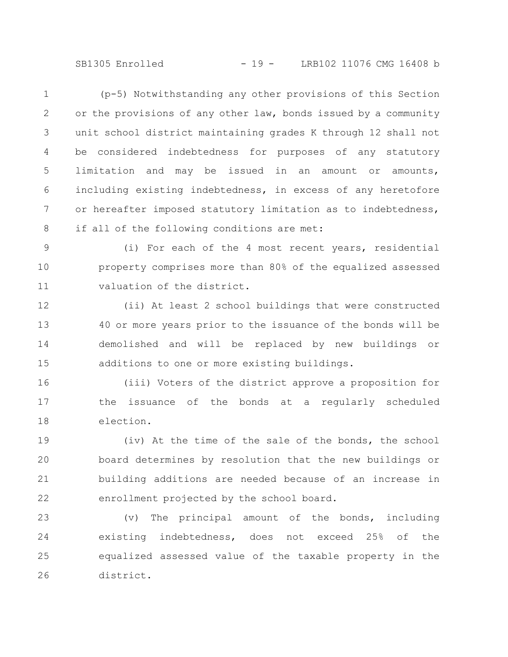SB1305 Enrolled - 19 - LRB102 11076 CMG 16408 b

(p-5) Notwithstanding any other provisions of this Section or the provisions of any other law, bonds issued by a community unit school district maintaining grades K through 12 shall not be considered indebtedness for purposes of any statutory limitation and may be issued in an amount or amounts, including existing indebtedness, in excess of any heretofore or hereafter imposed statutory limitation as to indebtedness, if all of the following conditions are met: 1 2 3 4 5 6 7 8

(i) For each of the 4 most recent years, residential property comprises more than 80% of the equalized assessed valuation of the district. 9 10 11

(ii) At least 2 school buildings that were constructed 40 or more years prior to the issuance of the bonds will be demolished and will be replaced by new buildings or additions to one or more existing buildings. 12 13 14 15

(iii) Voters of the district approve a proposition for the issuance of the bonds at a regularly scheduled election. 16 17 18

(iv) At the time of the sale of the bonds, the school board determines by resolution that the new buildings or building additions are needed because of an increase in enrollment projected by the school board. 19 20 21 22

(v) The principal amount of the bonds, including existing indebtedness, does not exceed 25% of the equalized assessed value of the taxable property in the district. 23 24 25 26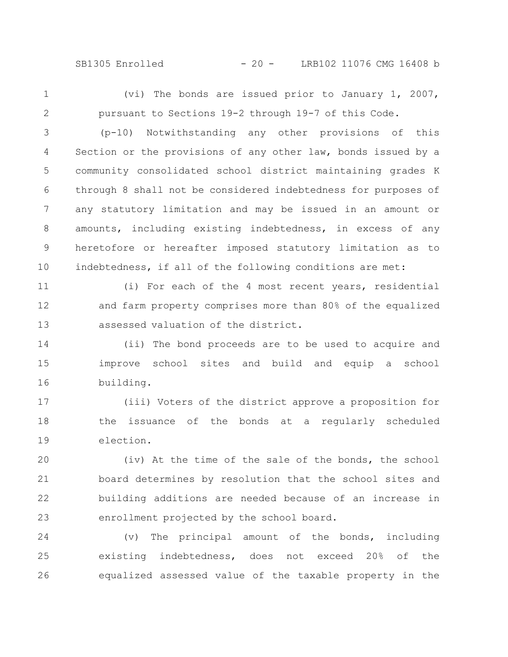SB1305 Enrolled - 20 - LRB102 11076 CMG 16408 b

1 2

(vi) The bonds are issued prior to January 1, 2007, pursuant to Sections 19-2 through 19-7 of this Code.

(p-10) Notwithstanding any other provisions of this Section or the provisions of any other law, bonds issued by a community consolidated school district maintaining grades K through 8 shall not be considered indebtedness for purposes of any statutory limitation and may be issued in an amount or amounts, including existing indebtedness, in excess of any heretofore or hereafter imposed statutory limitation as to indebtedness, if all of the following conditions are met: 3 4 5 6 7 8 9 10

(i) For each of the 4 most recent years, residential and farm property comprises more than 80% of the equalized assessed valuation of the district. 11 12 13

(ii) The bond proceeds are to be used to acquire and improve school sites and build and equip a school building. 14 15 16

(iii) Voters of the district approve a proposition for the issuance of the bonds at a regularly scheduled election. 17 18 19

(iv) At the time of the sale of the bonds, the school board determines by resolution that the school sites and building additions are needed because of an increase in enrollment projected by the school board. 20 21 22 23

(v) The principal amount of the bonds, including existing indebtedness, does not exceed 20% of the equalized assessed value of the taxable property in the 24 25 26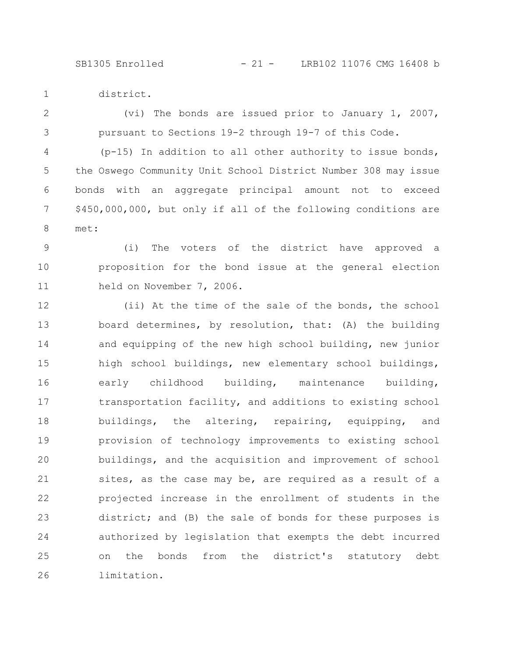district. 1

(vi) The bonds are issued prior to January 1, 2007, pursuant to Sections 19-2 through 19-7 of this Code. 2 3

 $(p-15)$  In addition to all other authority to issue bonds, the Oswego Community Unit School District Number 308 may issue bonds with an aggregate principal amount not to exceed \$450,000,000, but only if all of the following conditions are met: 4 5 6 7 8

(i) The voters of the district have approved a proposition for the bond issue at the general election held on November 7, 2006. 9 10 11

(ii) At the time of the sale of the bonds, the school board determines, by resolution, that: (A) the building and equipping of the new high school building, new junior high school buildings, new elementary school buildings, early childhood building, maintenance building, transportation facility, and additions to existing school buildings, the altering, repairing, equipping, and provision of technology improvements to existing school buildings, and the acquisition and improvement of school sites, as the case may be, are required as a result of a projected increase in the enrollment of students in the district; and (B) the sale of bonds for these purposes is authorized by legislation that exempts the debt incurred on the bonds from the district's statutory debt limitation. 12 13 14 15 16 17 18 19 20 21 22 23 24 25 26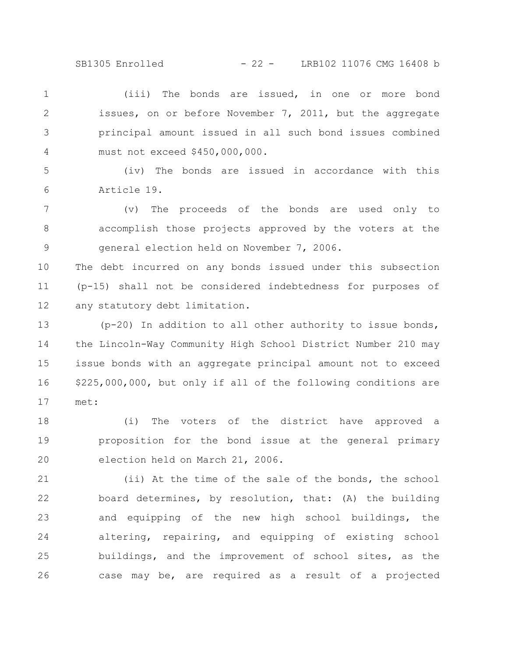SB1305 Enrolled - 22 - LRB102 11076 CMG 16408 b

(iii) The bonds are issued, in one or more bond issues, on or before November 7, 2011, but the aggregate principal amount issued in all such bond issues combined must not exceed \$450,000,000. 1 2 3 4

(iv) The bonds are issued in accordance with this Article 19. 5 6

(v) The proceeds of the bonds are used only to accomplish those projects approved by the voters at the general election held on November 7, 2006. 7 8 9

The debt incurred on any bonds issued under this subsection (p-15) shall not be considered indebtedness for purposes of any statutory debt limitation. 10 11 12

(p-20) In addition to all other authority to issue bonds, the Lincoln-Way Community High School District Number 210 may issue bonds with an aggregate principal amount not to exceed \$225,000,000, but only if all of the following conditions are met: 13 14 15 16 17

(i) The voters of the district have approved a proposition for the bond issue at the general primary election held on March 21, 2006. 18 19 20

(ii) At the time of the sale of the bonds, the school board determines, by resolution, that: (A) the building and equipping of the new high school buildings, the altering, repairing, and equipping of existing school buildings, and the improvement of school sites, as the case may be, are required as a result of a projected 21 22 23 24 25 26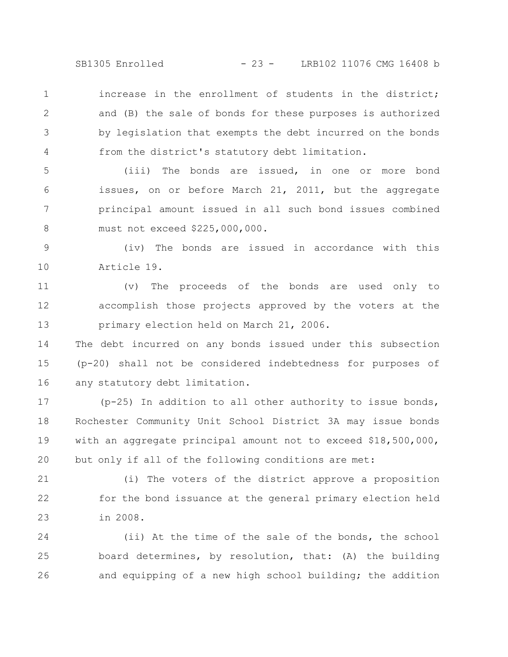SB1305 Enrolled - 23 - LRB102 11076 CMG 16408 b

increase in the enrollment of students in the district; and (B) the sale of bonds for these purposes is authorized by legislation that exempts the debt incurred on the bonds from the district's statutory debt limitation. 1 2 3 4

(iii) The bonds are issued, in one or more bond issues, on or before March 21, 2011, but the aggregate principal amount issued in all such bond issues combined must not exceed \$225,000,000. 5 6 7 8

(iv) The bonds are issued in accordance with this Article 19. 9 10

(v) The proceeds of the bonds are used only to accomplish those projects approved by the voters at the primary election held on March 21, 2006. 11 12 13

The debt incurred on any bonds issued under this subsection (p-20) shall not be considered indebtedness for purposes of any statutory debt limitation. 14 15 16

(p-25) In addition to all other authority to issue bonds, Rochester Community Unit School District 3A may issue bonds with an aggregate principal amount not to exceed \$18,500,000, but only if all of the following conditions are met: 17 18 19 20

(i) The voters of the district approve a proposition for the bond issuance at the general primary election held in 2008. 21 22 23

(ii) At the time of the sale of the bonds, the school board determines, by resolution, that: (A) the building and equipping of a new high school building; the addition 24 25 26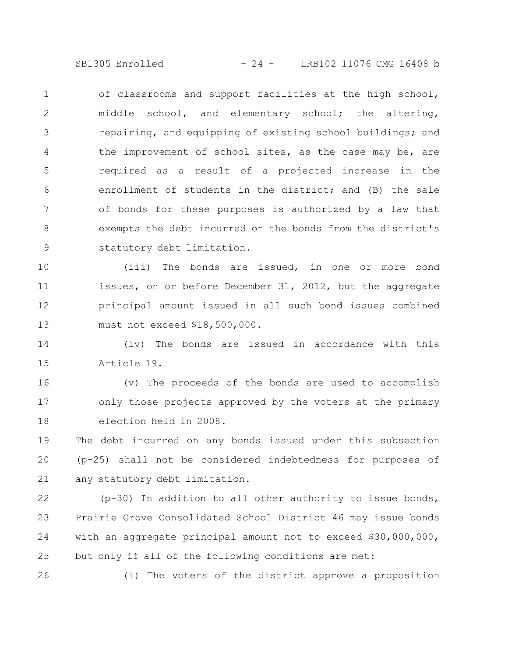SB1305 Enrolled - 24 - LRB102 11076 CMG 16408 b

of classrooms and support facilities at the high school, middle school, and elementary school; the altering, repairing, and equipping of existing school buildings; and the improvement of school sites, as the case may be, are required as a result of a projected increase in the enrollment of students in the district; and (B) the sale of bonds for these purposes is authorized by a law that exempts the debt incurred on the bonds from the district's statutory debt limitation. 1 2 3 4 5 6 7 8 9

(iii) The bonds are issued, in one or more bond issues, on or before December 31, 2012, but the aggregate principal amount issued in all such bond issues combined must not exceed \$18,500,000. 10 11 12 13

(iv) The bonds are issued in accordance with this Article 19. 14 15

(v) The proceeds of the bonds are used to accomplish only those projects approved by the voters at the primary election held in 2008. 16 17 18

The debt incurred on any bonds issued under this subsection (p-25) shall not be considered indebtedness for purposes of any statutory debt limitation. 19 20 21

(p-30) In addition to all other authority to issue bonds, Prairie Grove Consolidated School District 46 may issue bonds with an aggregate principal amount not to exceed \$30,000,000, but only if all of the following conditions are met: 22 23 24 25

26

(i) The voters of the district approve a proposition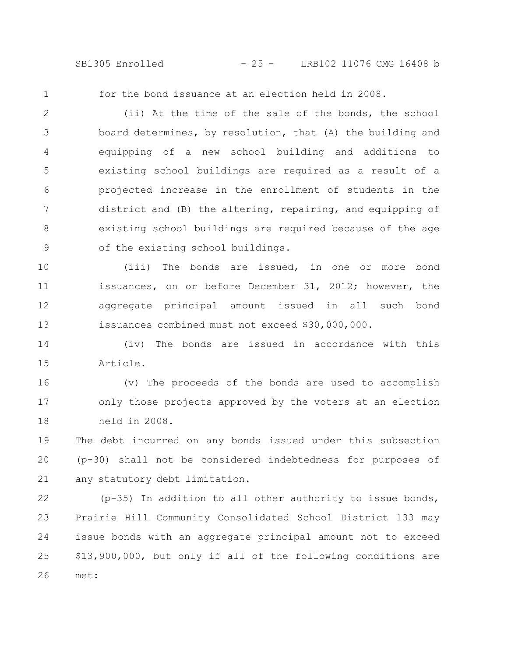SB1305 Enrolled - 25 - LRB102 11076 CMG 16408 b

1

for the bond issuance at an election held in 2008.

(ii) At the time of the sale of the bonds, the school board determines, by resolution, that (A) the building and equipping of a new school building and additions to existing school buildings are required as a result of a projected increase in the enrollment of students in the district and (B) the altering, repairing, and equipping of existing school buildings are required because of the age of the existing school buildings. 2 3 4 5 6 7 8 9

(iii) The bonds are issued, in one or more bond issuances, on or before December 31, 2012; however, the aggregate principal amount issued in all such bond issuances combined must not exceed \$30,000,000. 10 11 12 13

(iv) The bonds are issued in accordance with this Article. 14 15

(v) The proceeds of the bonds are used to accomplish only those projects approved by the voters at an election held in 2008. 16 17 18

The debt incurred on any bonds issued under this subsection (p-30) shall not be considered indebtedness for purposes of any statutory debt limitation. 19 20 21

(p-35) In addition to all other authority to issue bonds, Prairie Hill Community Consolidated School District 133 may issue bonds with an aggregate principal amount not to exceed \$13,900,000, but only if all of the following conditions are met: 22 23 24 25 26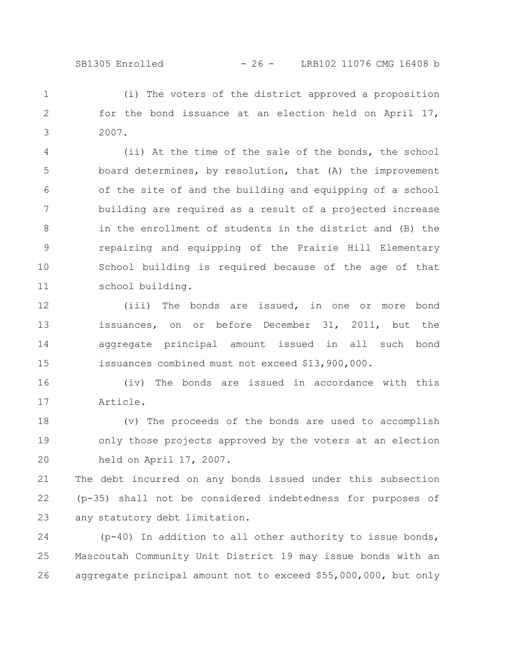(i) The voters of the district approved a proposition for the bond issuance at an election held on April 17, 2007. 1 2 3

(ii) At the time of the sale of the bonds, the school board determines, by resolution, that (A) the improvement of the site of and the building and equipping of a school building are required as a result of a projected increase in the enrollment of students in the district and (B) the repairing and equipping of the Prairie Hill Elementary School building is required because of the age of that school building. 4 5 6 7 8 9 10 11

(iii) The bonds are issued, in one or more bond issuances, on or before December 31, 2011, but the aggregate principal amount issued in all such bond issuances combined must not exceed \$13,900,000. 12 13 14 15

(iv) The bonds are issued in accordance with this Article. 16 17

(v) The proceeds of the bonds are used to accomplish only those projects approved by the voters at an election held on April 17, 2007. 18 19 20

The debt incurred on any bonds issued under this subsection (p-35) shall not be considered indebtedness for purposes of any statutory debt limitation. 21 22 23

(p-40) In addition to all other authority to issue bonds, Mascoutah Community Unit District 19 may issue bonds with an aggregate principal amount not to exceed \$55,000,000, but only 24 25 26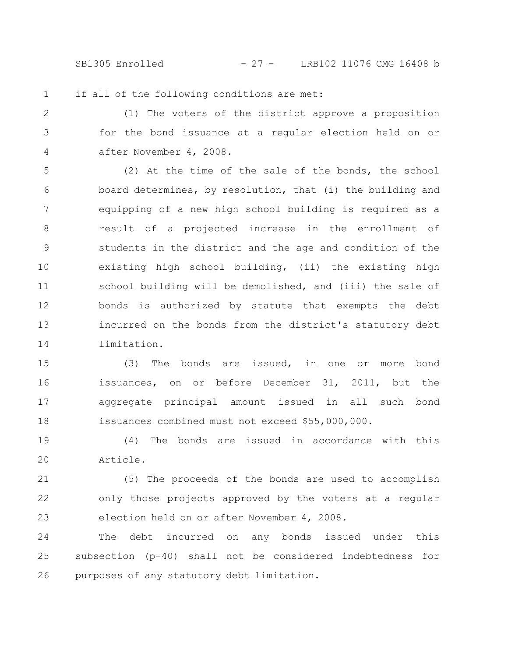SB1305 Enrolled - 27 - LRB102 11076 CMG 16408 b

if all of the following conditions are met: 1

(1) The voters of the district approve a proposition for the bond issuance at a regular election held on or after November 4, 2008. 2 3 4

(2) At the time of the sale of the bonds, the school board determines, by resolution, that (i) the building and equipping of a new high school building is required as a result of a projected increase in the enrollment of students in the district and the age and condition of the existing high school building, (ii) the existing high school building will be demolished, and (iii) the sale of bonds is authorized by statute that exempts the debt incurred on the bonds from the district's statutory debt limitation. 5 6 7 8 9 10 11 12 13 14

(3) The bonds are issued, in one or more bond issuances, on or before December 31, 2011, but the aggregate principal amount issued in all such bond issuances combined must not exceed \$55,000,000. 15 16 17 18

(4) The bonds are issued in accordance with this Article. 19 20

(5) The proceeds of the bonds are used to accomplish only those projects approved by the voters at a regular election held on or after November 4, 2008. 21 22 23

The debt incurred on any bonds issued under this subsection (p-40) shall not be considered indebtedness for purposes of any statutory debt limitation. 24 25 26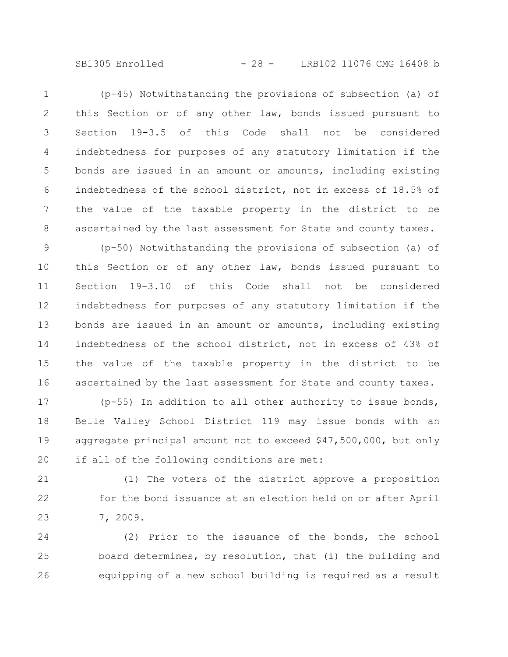SB1305 Enrolled - 28 - LRB102 11076 CMG 16408 b

(p-45) Notwithstanding the provisions of subsection (a) of this Section or of any other law, bonds issued pursuant to Section 19-3.5 of this Code shall not be considered indebtedness for purposes of any statutory limitation if the bonds are issued in an amount or amounts, including existing indebtedness of the school district, not in excess of 18.5% of the value of the taxable property in the district to be ascertained by the last assessment for State and county taxes. 1 2 3 4 5 6 7 8

(p-50) Notwithstanding the provisions of subsection (a) of this Section or of any other law, bonds issued pursuant to Section 19-3.10 of this Code shall not be considered indebtedness for purposes of any statutory limitation if the bonds are issued in an amount or amounts, including existing indebtedness of the school district, not in excess of 43% of the value of the taxable property in the district to be ascertained by the last assessment for State and county taxes. 9 10 11 12 13 14 15 16

(p-55) In addition to all other authority to issue bonds, Belle Valley School District 119 may issue bonds with an aggregate principal amount not to exceed \$47,500,000, but only if all of the following conditions are met: 17 18 19 20

(1) The voters of the district approve a proposition for the bond issuance at an election held on or after April 7, 2009. 21 22 23

(2) Prior to the issuance of the bonds, the school board determines, by resolution, that (i) the building and equipping of a new school building is required as a result 24 25 26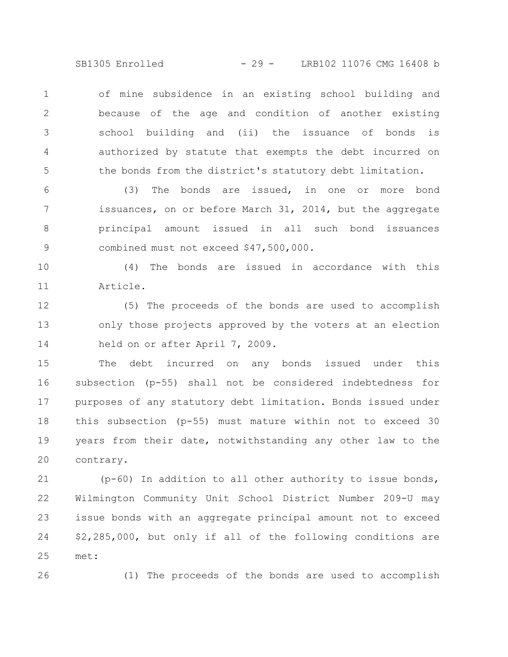SB1305 Enrolled - 29 - LRB102 11076 CMG 16408 b

of mine subsidence in an existing school building and because of the age and condition of another existing school building and (ii) the issuance of bonds is authorized by statute that exempts the debt incurred on the bonds from the district's statutory debt limitation. 1 2 3 4 5

(3) The bonds are issued, in one or more bond issuances, on or before March 31, 2014, but the aggregate principal amount issued in all such bond issuances combined must not exceed \$47,500,000. 6 7 8 9

(4) The bonds are issued in accordance with this Article. 10 11

(5) The proceeds of the bonds are used to accomplish only those projects approved by the voters at an election held on or after April 7, 2009. 12 13 14

The debt incurred on any bonds issued under this subsection (p-55) shall not be considered indebtedness for purposes of any statutory debt limitation. Bonds issued under this subsection (p-55) must mature within not to exceed 30 years from their date, notwithstanding any other law to the contrary. 15 16 17 18 19 20

(p-60) In addition to all other authority to issue bonds, Wilmington Community Unit School District Number 209-U may issue bonds with an aggregate principal amount not to exceed \$2,285,000, but only if all of the following conditions are met: 21 22 23 24 25

26

(1) The proceeds of the bonds are used to accomplish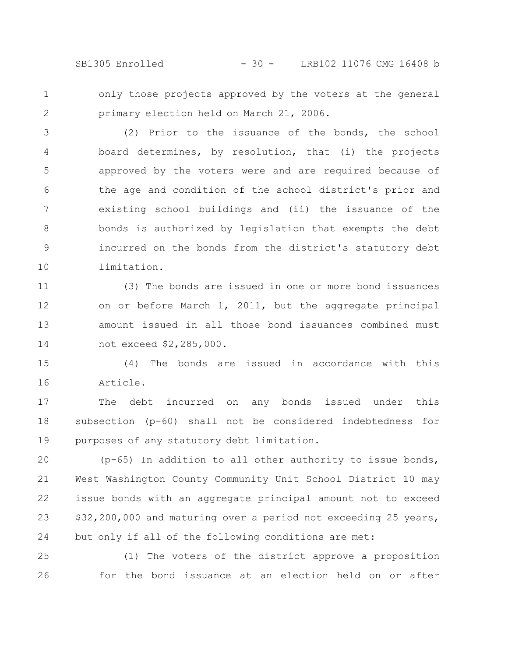SB1305 Enrolled - 30 - LRB102 11076 CMG 16408 b

only those projects approved by the voters at the general primary election held on March 21, 2006. 1 2

(2) Prior to the issuance of the bonds, the school board determines, by resolution, that (i) the projects approved by the voters were and are required because of the age and condition of the school district's prior and existing school buildings and (ii) the issuance of the bonds is authorized by legislation that exempts the debt incurred on the bonds from the district's statutory debt limitation. 3 4 5 6 7 8 9 10

(3) The bonds are issued in one or more bond issuances on or before March 1, 2011, but the aggregate principal amount issued in all those bond issuances combined must not exceed \$2,285,000. 11 12 13 14

(4) The bonds are issued in accordance with this Article. 15 16

The debt incurred on any bonds issued under this subsection (p-60) shall not be considered indebtedness for purposes of any statutory debt limitation. 17 18 19

(p-65) In addition to all other authority to issue bonds, West Washington County Community Unit School District 10 may issue bonds with an aggregate principal amount not to exceed \$32,200,000 and maturing over a period not exceeding 25 years, but only if all of the following conditions are met: 20 21 22 23 24

(1) The voters of the district approve a proposition for the bond issuance at an election held on or after 25 26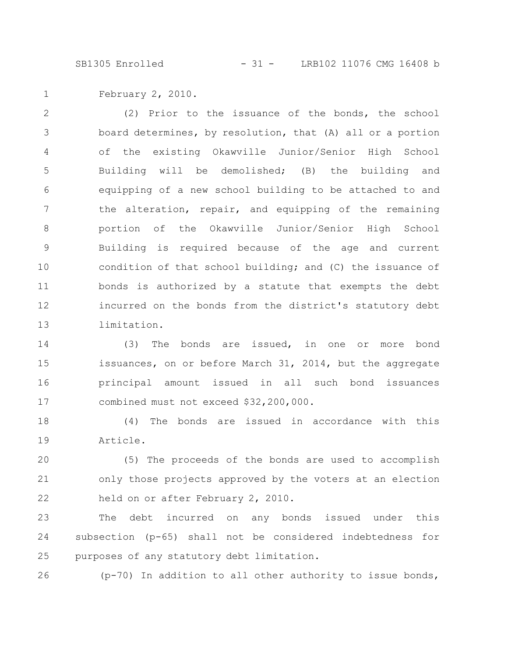SB1305 Enrolled - 31 - LRB102 11076 CMG 16408 b

February 2, 2010. 1

(2) Prior to the issuance of the bonds, the school board determines, by resolution, that (A) all or a portion of the existing Okawville Junior/Senior High School Building will be demolished; (B) the building and equipping of a new school building to be attached to and the alteration, repair, and equipping of the remaining portion of the Okawville Junior/Senior High School Building is required because of the age and current condition of that school building; and (C) the issuance of bonds is authorized by a statute that exempts the debt incurred on the bonds from the district's statutory debt limitation. 2 3 4 5 6 7 8 9 10 11 12 13

(3) The bonds are issued, in one or more bond issuances, on or before March 31, 2014, but the aggregate principal amount issued in all such bond issuances combined must not exceed \$32,200,000. 14 15 16 17

(4) The bonds are issued in accordance with this Article. 18 19

(5) The proceeds of the bonds are used to accomplish only those projects approved by the voters at an election held on or after February 2, 2010. 20 21 22

The debt incurred on any bonds issued under this subsection (p-65) shall not be considered indebtedness for purposes of any statutory debt limitation. 23 24 25

(p-70) In addition to all other authority to issue bonds, 26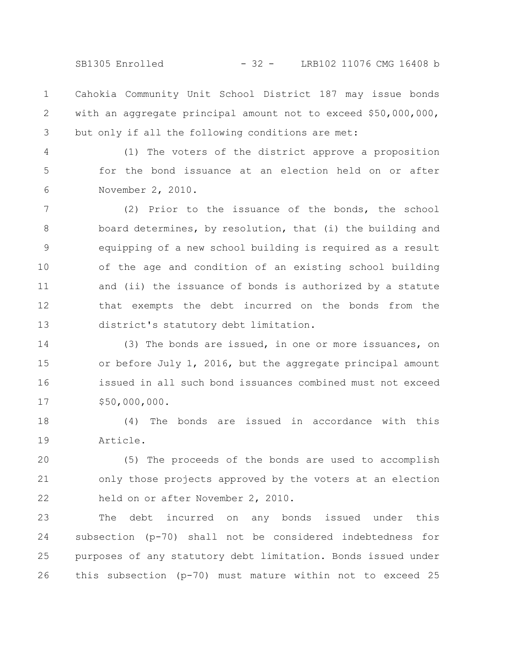SB1305 Enrolled - 32 - LRB102 11076 CMG 16408 b

Cahokia Community Unit School District 187 may issue bonds with an aggregate principal amount not to exceed \$50,000,000, but only if all the following conditions are met: 1 2 3

(1) The voters of the district approve a proposition for the bond issuance at an election held on or after November 2, 2010. 4 5 6

(2) Prior to the issuance of the bonds, the school board determines, by resolution, that (i) the building and equipping of a new school building is required as a result of the age and condition of an existing school building and (ii) the issuance of bonds is authorized by a statute that exempts the debt incurred on the bonds from the district's statutory debt limitation. 7 8 9 10 11 12 13

(3) The bonds are issued, in one or more issuances, on or before July 1, 2016, but the aggregate principal amount issued in all such bond issuances combined must not exceed \$50,000,000. 14 15 16 17

(4) The bonds are issued in accordance with this Article. 18 19

(5) The proceeds of the bonds are used to accomplish only those projects approved by the voters at an election held on or after November 2, 2010. 20 21 22

The debt incurred on any bonds issued under this subsection (p-70) shall not be considered indebtedness for purposes of any statutory debt limitation. Bonds issued under this subsection (p-70) must mature within not to exceed 25 23 24 25 26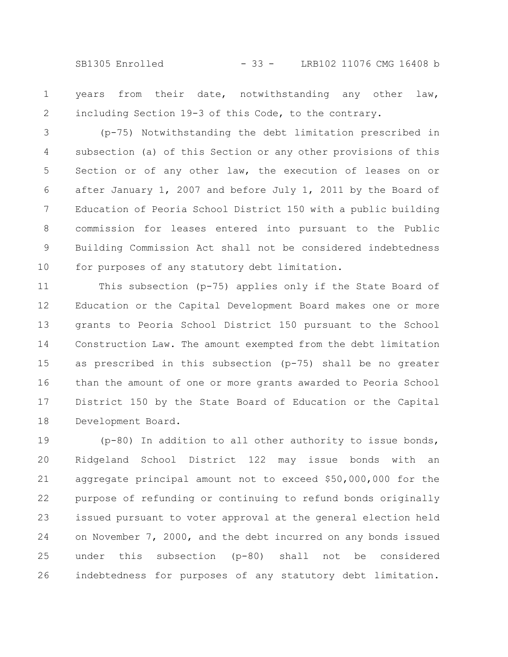SB1305 Enrolled - 33 - LRB102 11076 CMG 16408 b

years from their date, notwithstanding any other law, including Section 19-3 of this Code, to the contrary. 1 2

(p-75) Notwithstanding the debt limitation prescribed in subsection (a) of this Section or any other provisions of this Section or of any other law, the execution of leases on or after January 1, 2007 and before July 1, 2011 by the Board of Education of Peoria School District 150 with a public building commission for leases entered into pursuant to the Public Building Commission Act shall not be considered indebtedness for purposes of any statutory debt limitation. 3 4 5 6 7 8 9 10

This subsection (p-75) applies only if the State Board of Education or the Capital Development Board makes one or more grants to Peoria School District 150 pursuant to the School Construction Law. The amount exempted from the debt limitation as prescribed in this subsection (p-75) shall be no greater than the amount of one or more grants awarded to Peoria School District 150 by the State Board of Education or the Capital Development Board. 11 12 13 14 15 16 17 18

(p-80) In addition to all other authority to issue bonds, Ridgeland School District 122 may issue bonds with an aggregate principal amount not to exceed \$50,000,000 for the purpose of refunding or continuing to refund bonds originally issued pursuant to voter approval at the general election held on November 7, 2000, and the debt incurred on any bonds issued under this subsection (p-80) shall not be considered indebtedness for purposes of any statutory debt limitation. 19 20 21 22 23 24 25 26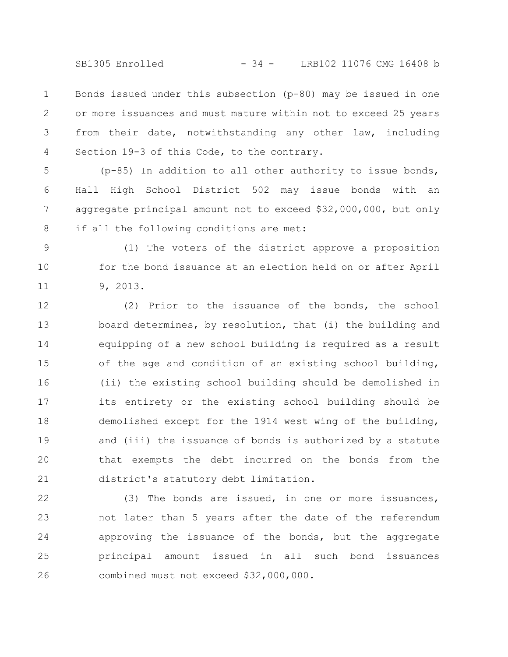SB1305 Enrolled - 34 - LRB102 11076 CMG 16408 b

Bonds issued under this subsection (p-80) may be issued in one or more issuances and must mature within not to exceed 25 years from their date, notwithstanding any other law, including Section 19-3 of this Code, to the contrary. 1 2 3 4

(p-85) In addition to all other authority to issue bonds, Hall High School District 502 may issue bonds with an aggregate principal amount not to exceed \$32,000,000, but only if all the following conditions are met: 5 6 7 8

(1) The voters of the district approve a proposition for the bond issuance at an election held on or after April 9, 2013. 9 10 11

(2) Prior to the issuance of the bonds, the school board determines, by resolution, that (i) the building and equipping of a new school building is required as a result of the age and condition of an existing school building, (ii) the existing school building should be demolished in its entirety or the existing school building should be demolished except for the 1914 west wing of the building, and (iii) the issuance of bonds is authorized by a statute that exempts the debt incurred on the bonds from the district's statutory debt limitation. 12 13 14 15 16 17 18 19 20 21

(3) The bonds are issued, in one or more issuances, not later than 5 years after the date of the referendum approving the issuance of the bonds, but the aggregate principal amount issued in all such bond issuances combined must not exceed \$32,000,000. 22 23 24 25 26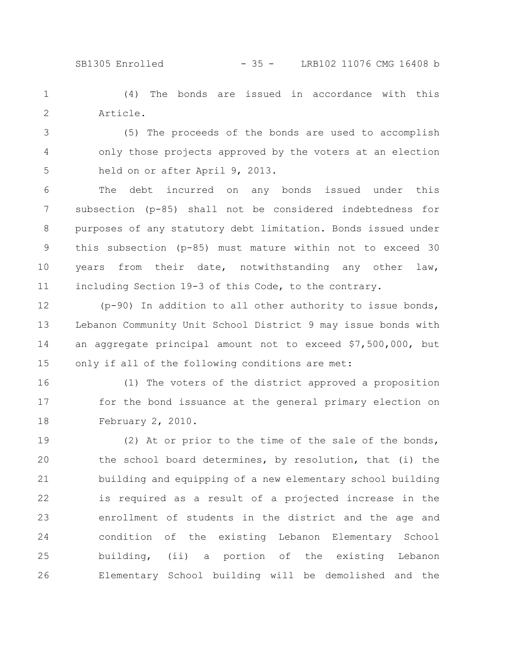## SB1305 Enrolled - 35 - LRB102 11076 CMG 16408 b

(4) The bonds are issued in accordance with this Article. 1 2

(5) The proceeds of the bonds are used to accomplish only those projects approved by the voters at an election held on or after April 9, 2013. 3 4 5

The debt incurred on any bonds issued under this subsection (p-85) shall not be considered indebtedness for purposes of any statutory debt limitation. Bonds issued under this subsection (p-85) must mature within not to exceed 30 years from their date, notwithstanding any other law, including Section 19-3 of this Code, to the contrary. 6 7 8 9 10 11

(p-90) In addition to all other authority to issue bonds, Lebanon Community Unit School District 9 may issue bonds with an aggregate principal amount not to exceed \$7,500,000, but only if all of the following conditions are met: 12 13 14 15

(1) The voters of the district approved a proposition for the bond issuance at the general primary election on February 2, 2010. 16 17 18

(2) At or prior to the time of the sale of the bonds, the school board determines, by resolution, that (i) the building and equipping of a new elementary school building is required as a result of a projected increase in the enrollment of students in the district and the age and condition of the existing Lebanon Elementary School building, (ii) a portion of the existing Lebanon Elementary School building will be demolished and the 19 20 21 22 23 24 25 26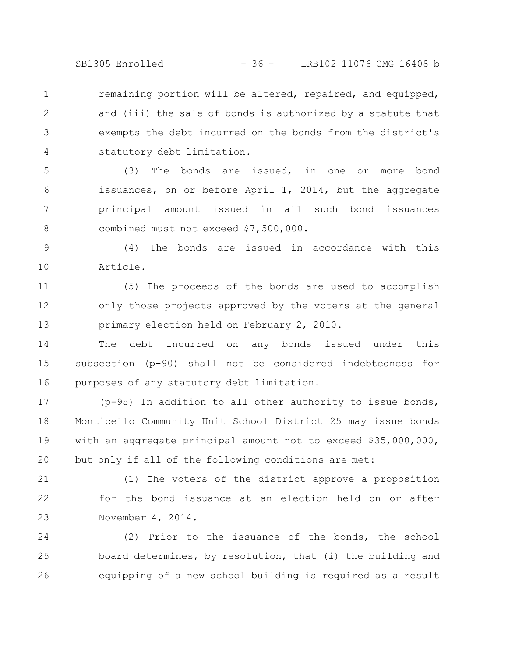SB1305 Enrolled - 36 - LRB102 11076 CMG 16408 b

remaining portion will be altered, repaired, and equipped, and (iii) the sale of bonds is authorized by a statute that exempts the debt incurred on the bonds from the district's statutory debt limitation. 1 2 3 4

(3) The bonds are issued, in one or more bond issuances, on or before April 1, 2014, but the aggregate principal amount issued in all such bond issuances combined must not exceed \$7,500,000. 5 6 7 8

(4) The bonds are issued in accordance with this Article. 9 10

(5) The proceeds of the bonds are used to accomplish only those projects approved by the voters at the general primary election held on February 2, 2010. 11 12 13

The debt incurred on any bonds issued under this subsection (p-90) shall not be considered indebtedness for purposes of any statutory debt limitation. 14 15 16

(p-95) In addition to all other authority to issue bonds, Monticello Community Unit School District 25 may issue bonds with an aggregate principal amount not to exceed \$35,000,000, but only if all of the following conditions are met: 17 18 19 20

(1) The voters of the district approve a proposition for the bond issuance at an election held on or after November 4, 2014. 21 22 23

(2) Prior to the issuance of the bonds, the school board determines, by resolution, that (i) the building and equipping of a new school building is required as a result 24 25 26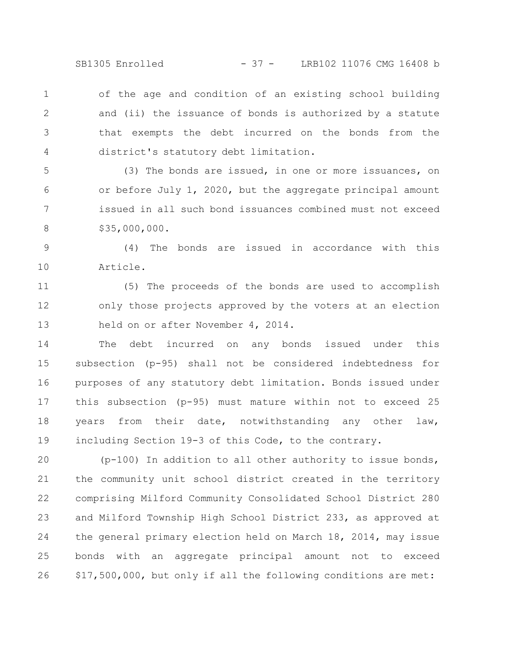SB1305 Enrolled - 37 - LRB102 11076 CMG 16408 b

of the age and condition of an existing school building and (ii) the issuance of bonds is authorized by a statute that exempts the debt incurred on the bonds from the district's statutory debt limitation. 1 2 3 4

(3) The bonds are issued, in one or more issuances, on or before July 1, 2020, but the aggregate principal amount issued in all such bond issuances combined must not exceed \$35,000,000. 5 6 7 8

(4) The bonds are issued in accordance with this Article. 9 10

(5) The proceeds of the bonds are used to accomplish only those projects approved by the voters at an election held on or after November 4, 2014. 11 12 13

The debt incurred on any bonds issued under this subsection (p-95) shall not be considered indebtedness for purposes of any statutory debt limitation. Bonds issued under this subsection (p-95) must mature within not to exceed 25 years from their date, notwithstanding any other law, including Section 19-3 of this Code, to the contrary. 14 15 16 17 18 19

(p-100) In addition to all other authority to issue bonds, the community unit school district created in the territory comprising Milford Community Consolidated School District 280 and Milford Township High School District 233, as approved at the general primary election held on March 18, 2014, may issue bonds with an aggregate principal amount not to exceed \$17,500,000, but only if all the following conditions are met: 20 21 22 23 24 25 26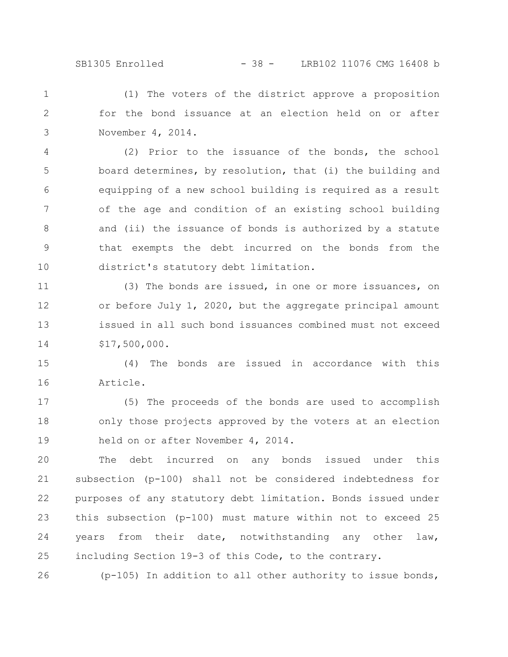## SB1305 Enrolled - 38 - LRB102 11076 CMG 16408 b

(1) The voters of the district approve a proposition for the bond issuance at an election held on or after November 4, 2014. 1 2 3

(2) Prior to the issuance of the bonds, the school board determines, by resolution, that (i) the building and equipping of a new school building is required as a result of the age and condition of an existing school building and (ii) the issuance of bonds is authorized by a statute that exempts the debt incurred on the bonds from the district's statutory debt limitation. 4 5 6 7 8 9 10

(3) The bonds are issued, in one or more issuances, on or before July 1, 2020, but the aggregate principal amount issued in all such bond issuances combined must not exceed \$17,500,000. 11 12 13 14

(4) The bonds are issued in accordance with this Article. 15 16

(5) The proceeds of the bonds are used to accomplish only those projects approved by the voters at an election held on or after November 4, 2014. 17 18 19

The debt incurred on any bonds issued under this subsection (p-100) shall not be considered indebtedness for purposes of any statutory debt limitation. Bonds issued under this subsection (p-100) must mature within not to exceed 25 years from their date, notwithstanding any other law, including Section 19-3 of this Code, to the contrary. 20 21 22 23 24 25

(p-105) In addition to all other authority to issue bonds, 26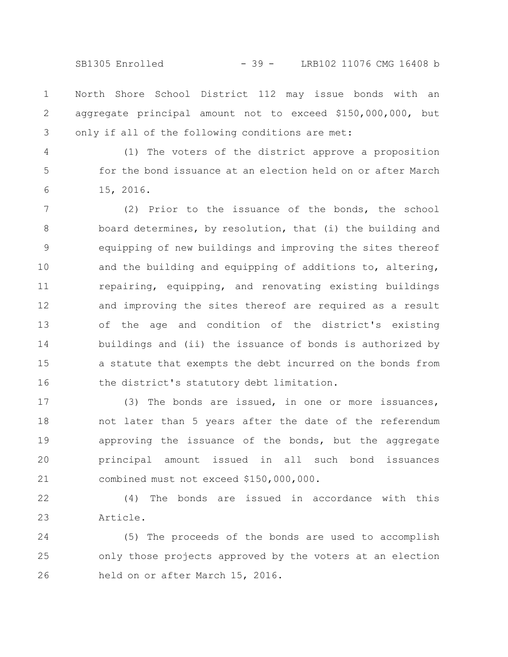SB1305 Enrolled - 39 - LRB102 11076 CMG 16408 b

North Shore School District 112 may issue bonds with an aggregate principal amount not to exceed \$150,000,000, but only if all of the following conditions are met: 1 2 3

4 5

6

(1) The voters of the district approve a proposition for the bond issuance at an election held on or after March 15, 2016.

(2) Prior to the issuance of the bonds, the school board determines, by resolution, that (i) the building and equipping of new buildings and improving the sites thereof and the building and equipping of additions to, altering, repairing, equipping, and renovating existing buildings and improving the sites thereof are required as a result of the age and condition of the district's existing buildings and (ii) the issuance of bonds is authorized by a statute that exempts the debt incurred on the bonds from the district's statutory debt limitation. 7 8 9 10 11 12 13 14 15 16

(3) The bonds are issued, in one or more issuances, not later than 5 years after the date of the referendum approving the issuance of the bonds, but the aggregate principal amount issued in all such bond issuances combined must not exceed \$150,000,000. 17 18 19 20 21

(4) The bonds are issued in accordance with this Article. 22 23

(5) The proceeds of the bonds are used to accomplish only those projects approved by the voters at an election held on or after March 15, 2016. 24 25 26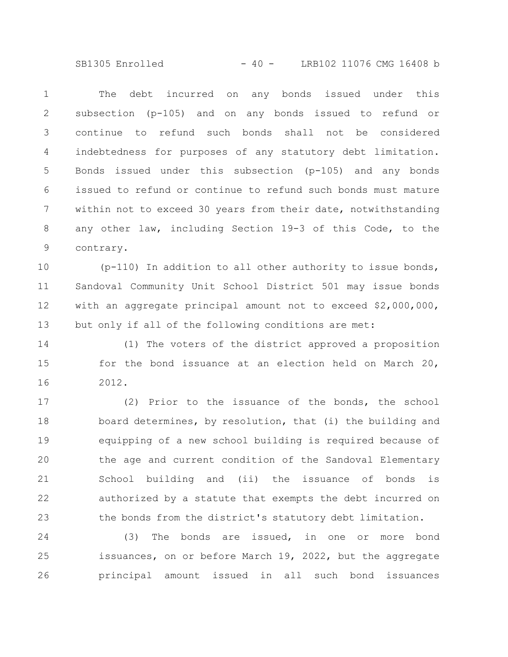SB1305 Enrolled - 40 - LRB102 11076 CMG 16408 b

The debt incurred on any bonds issued under this subsection (p-105) and on any bonds issued to refund or continue to refund such bonds shall not be considered indebtedness for purposes of any statutory debt limitation. Bonds issued under this subsection (p-105) and any bonds issued to refund or continue to refund such bonds must mature within not to exceed 30 years from their date, notwithstanding any other law, including Section 19-3 of this Code, to the contrary. 1 2 3 4 5 6 7 8 9

(p-110) In addition to all other authority to issue bonds, Sandoval Community Unit School District 501 may issue bonds with an aggregate principal amount not to exceed \$2,000,000, but only if all of the following conditions are met: 10 11 12 13

(1) The voters of the district approved a proposition for the bond issuance at an election held on March 20, 2012. 14 15 16

(2) Prior to the issuance of the bonds, the school board determines, by resolution, that (i) the building and equipping of a new school building is required because of the age and current condition of the Sandoval Elementary School building and (ii) the issuance of bonds is authorized by a statute that exempts the debt incurred on the bonds from the district's statutory debt limitation. 17 18 19 20 21 22 23

(3) The bonds are issued, in one or more bond issuances, on or before March 19, 2022, but the aggregate principal amount issued in all such bond issuances 24 25 26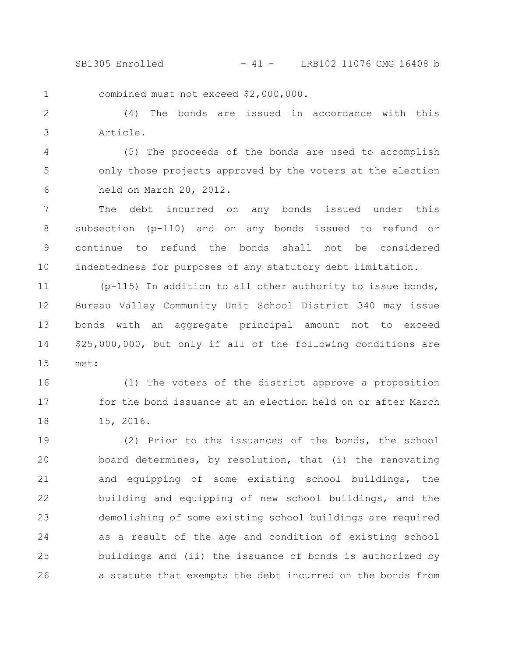SB1305 Enrolled - 41 - LRB102 11076 CMG 16408 b

combined must not exceed \$2,000,000. 1

(4) The bonds are issued in accordance with this Article. 2 3

(5) The proceeds of the bonds are used to accomplish only those projects approved by the voters at the election held on March 20, 2012. 4 5 6

The debt incurred on any bonds issued under this subsection (p-110) and on any bonds issued to refund or continue to refund the bonds shall not be considered indebtedness for purposes of any statutory debt limitation. 7 8 9 10

(p-115) In addition to all other authority to issue bonds, Bureau Valley Community Unit School District 340 may issue bonds with an aggregate principal amount not to exceed \$25,000,000, but only if all of the following conditions are met: 11 12 13 14 15

(1) The voters of the district approve a proposition for the bond issuance at an election held on or after March 15, 2016. 16 17 18

(2) Prior to the issuances of the bonds, the school board determines, by resolution, that (i) the renovating and equipping of some existing school buildings, the building and equipping of new school buildings, and the demolishing of some existing school buildings are required as a result of the age and condition of existing school buildings and (ii) the issuance of bonds is authorized by a statute that exempts the debt incurred on the bonds from 19 20 21 22 23 24 25 26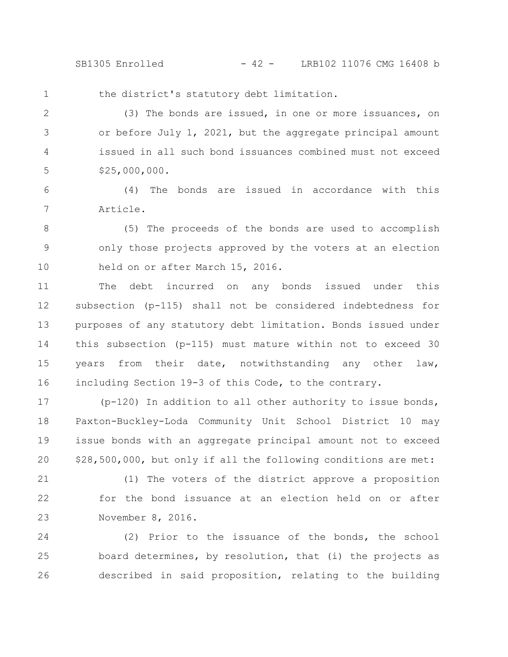SB1305 Enrolled - 42 - LRB102 11076 CMG 16408 b

1

the district's statutory debt limitation.

(3) The bonds are issued, in one or more issuances, on or before July 1, 2021, but the aggregate principal amount issued in all such bond issuances combined must not exceed \$25,000,000. 2 3 4 5

(4) The bonds are issued in accordance with this Article. 6 7

(5) The proceeds of the bonds are used to accomplish only those projects approved by the voters at an election held on or after March 15, 2016. 8 9 10

The debt incurred on any bonds issued under this subsection (p-115) shall not be considered indebtedness for purposes of any statutory debt limitation. Bonds issued under this subsection (p-115) must mature within not to exceed 30 years from their date, notwithstanding any other law, including Section 19-3 of this Code, to the contrary. 11 12 13 14 15 16

(p-120) In addition to all other authority to issue bonds, Paxton-Buckley-Loda Community Unit School District 10 may issue bonds with an aggregate principal amount not to exceed \$28,500,000, but only if all the following conditions are met: 17 18 19 20

(1) The voters of the district approve a proposition for the bond issuance at an election held on or after November 8, 2016. 21 22 23

(2) Prior to the issuance of the bonds, the school board determines, by resolution, that (i) the projects as described in said proposition, relating to the building 24 25 26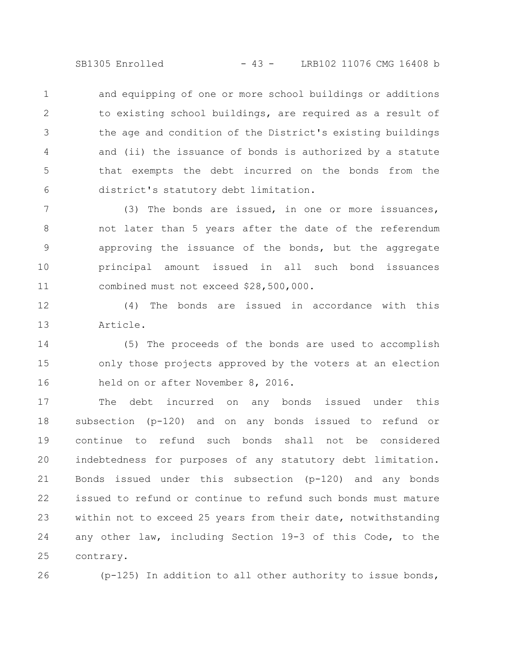SB1305 Enrolled - 43 - LRB102 11076 CMG 16408 b

and equipping of one or more school buildings or additions to existing school buildings, are required as a result of the age and condition of the District's existing buildings and (ii) the issuance of bonds is authorized by a statute that exempts the debt incurred on the bonds from the district's statutory debt limitation. 1 2 3 4 5 6

(3) The bonds are issued, in one or more issuances, not later than 5 years after the date of the referendum approving the issuance of the bonds, but the aggregate principal amount issued in all such bond issuances combined must not exceed \$28,500,000. 7 8 9 10 11

(4) The bonds are issued in accordance with this Article. 12 13

(5) The proceeds of the bonds are used to accomplish only those projects approved by the voters at an election held on or after November 8, 2016. 14 15 16

The debt incurred on any bonds issued under this subsection (p-120) and on any bonds issued to refund or continue to refund such bonds shall not be considered indebtedness for purposes of any statutory debt limitation. Bonds issued under this subsection (p-120) and any bonds issued to refund or continue to refund such bonds must mature within not to exceed 25 years from their date, notwithstanding any other law, including Section 19-3 of this Code, to the contrary. 17 18 19 20 21 22 23 24 25

26

(p-125) In addition to all other authority to issue bonds,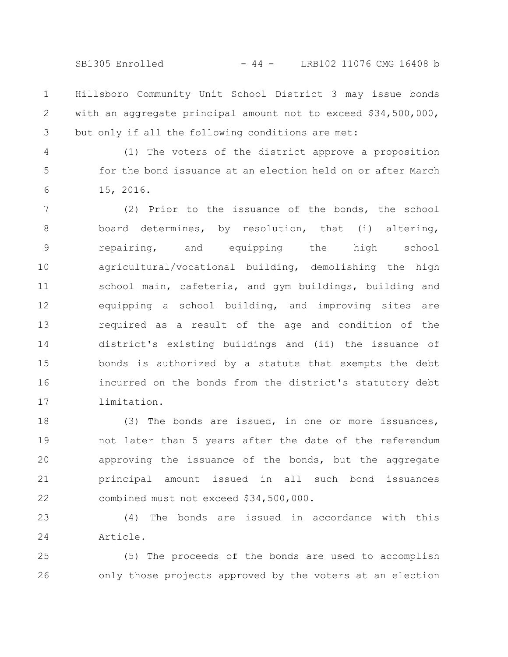SB1305 Enrolled - 44 - LRB102 11076 CMG 16408 b

Hillsboro Community Unit School District 3 may issue bonds with an aggregate principal amount not to exceed \$34,500,000, but only if all the following conditions are met: 1 2 3

4

5

6

(1) The voters of the district approve a proposition for the bond issuance at an election held on or after March 15, 2016.

(2) Prior to the issuance of the bonds, the school board determines, by resolution, that (i) altering, repairing, and equipping the high school agricultural/vocational building, demolishing the high school main, cafeteria, and gym buildings, building and equipping a school building, and improving sites are required as a result of the age and condition of the district's existing buildings and (ii) the issuance of bonds is authorized by a statute that exempts the debt incurred on the bonds from the district's statutory debt limitation. 7 8 9 10 11 12 13 14 15 16 17

(3) The bonds are issued, in one or more issuances, not later than 5 years after the date of the referendum approving the issuance of the bonds, but the aggregate principal amount issued in all such bond issuances combined must not exceed \$34,500,000. 18 19 20 21 22

(4) The bonds are issued in accordance with this Article. 23 24

(5) The proceeds of the bonds are used to accomplish only those projects approved by the voters at an election 25 26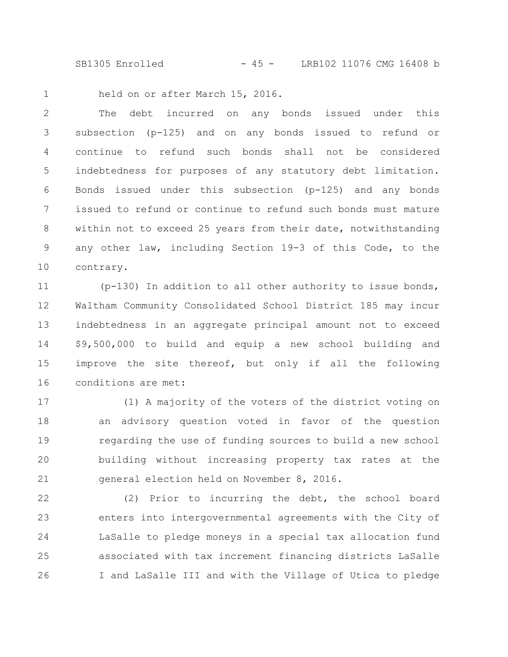SB1305 Enrolled - 45 - LRB102 11076 CMG 16408 b

1

held on or after March 15, 2016.

The debt incurred on any bonds issued under this subsection (p-125) and on any bonds issued to refund or continue to refund such bonds shall not be considered indebtedness for purposes of any statutory debt limitation. Bonds issued under this subsection (p-125) and any bonds issued to refund or continue to refund such bonds must mature within not to exceed 25 years from their date, notwithstanding any other law, including Section 19-3 of this Code, to the contrary. 2 3 4 5 6 7 8 9 10

(p-130) In addition to all other authority to issue bonds, Waltham Community Consolidated School District 185 may incur indebtedness in an aggregate principal amount not to exceed \$9,500,000 to build and equip a new school building and improve the site thereof, but only if all the following conditions are met: 11 12 13 14 15 16

(1) A majority of the voters of the district voting on an advisory question voted in favor of the question regarding the use of funding sources to build a new school building without increasing property tax rates at the general election held on November 8, 2016. 17 18 19 20 21

(2) Prior to incurring the debt, the school board enters into intergovernmental agreements with the City of LaSalle to pledge moneys in a special tax allocation fund associated with tax increment financing districts LaSalle I and LaSalle III and with the Village of Utica to pledge 22 23 24 25 26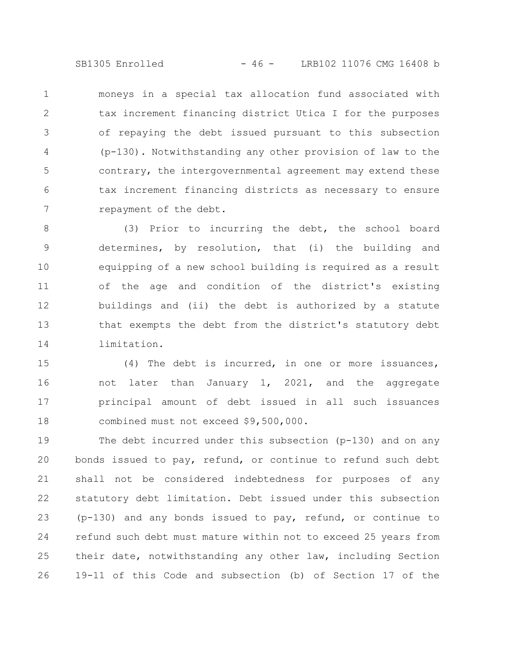SB1305 Enrolled - 46 - LRB102 11076 CMG 16408 b

moneys in a special tax allocation fund associated with tax increment financing district Utica I for the purposes of repaying the debt issued pursuant to this subsection (p-130). Notwithstanding any other provision of law to the contrary, the intergovernmental agreement may extend these tax increment financing districts as necessary to ensure repayment of the debt. 1 2 3 4 5 6 7

(3) Prior to incurring the debt, the school board determines, by resolution, that (i) the building and equipping of a new school building is required as a result of the age and condition of the district's existing buildings and (ii) the debt is authorized by a statute that exempts the debt from the district's statutory debt limitation. 8 9 10 11 12 13 14

(4) The debt is incurred, in one or more issuances, not later than January 1, 2021, and the aggregate principal amount of debt issued in all such issuances combined must not exceed \$9,500,000. 15 16 17 18

The debt incurred under this subsection (p-130) and on any bonds issued to pay, refund, or continue to refund such debt shall not be considered indebtedness for purposes of any statutory debt limitation. Debt issued under this subsection (p-130) and any bonds issued to pay, refund, or continue to refund such debt must mature within not to exceed 25 years from their date, notwithstanding any other law, including Section 19-11 of this Code and subsection (b) of Section 17 of the 19 20 21 22 23 24 25 26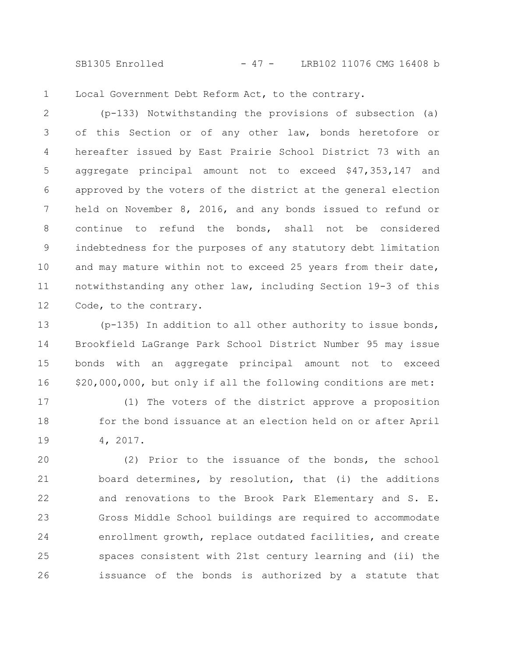SB1305 Enrolled - 47 - LRB102 11076 CMG 16408 b

Local Government Debt Reform Act, to the contrary. 1

(p-133) Notwithstanding the provisions of subsection (a) of this Section or of any other law, bonds heretofore or hereafter issued by East Prairie School District 73 with an aggregate principal amount not to exceed \$47,353,147 and approved by the voters of the district at the general election held on November 8, 2016, and any bonds issued to refund or continue to refund the bonds, shall not be considered indebtedness for the purposes of any statutory debt limitation and may mature within not to exceed 25 years from their date, notwithstanding any other law, including Section 19-3 of this Code, to the contrary. 2 3 4 5 6 7 8 9 10 11 12

(p-135) In addition to all other authority to issue bonds, Brookfield LaGrange Park School District Number 95 may issue bonds with an aggregate principal amount not to exceed \$20,000,000, but only if all the following conditions are met: 13 14 15 16

(1) The voters of the district approve a proposition for the bond issuance at an election held on or after April 4, 2017. 17 18 19

(2) Prior to the issuance of the bonds, the school board determines, by resolution, that (i) the additions and renovations to the Brook Park Elementary and S. E. Gross Middle School buildings are required to accommodate enrollment growth, replace outdated facilities, and create spaces consistent with 21st century learning and (ii) the issuance of the bonds is authorized by a statute that 20 21 22 23 24 25 26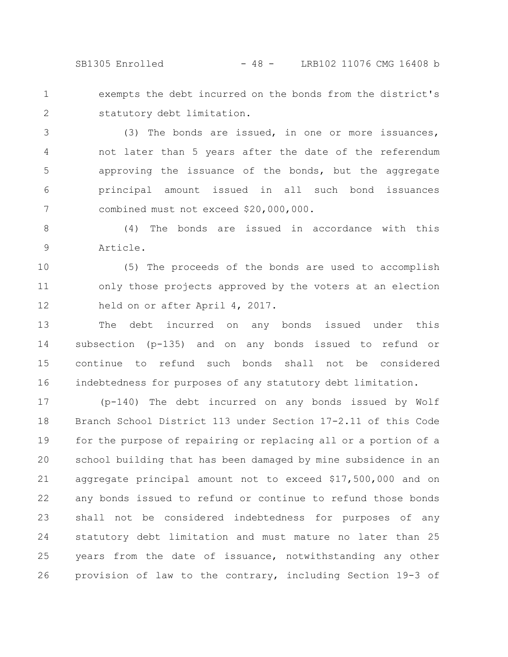SB1305 Enrolled - 48 - LRB102 11076 CMG 16408 b

exempts the debt incurred on the bonds from the district's statutory debt limitation. 1 2

(3) The bonds are issued, in one or more issuances, not later than 5 years after the date of the referendum approving the issuance of the bonds, but the aggregate principal amount issued in all such bond issuances combined must not exceed \$20,000,000. 3 4 5 6 7

(4) The bonds are issued in accordance with this Article. 8 9

(5) The proceeds of the bonds are used to accomplish only those projects approved by the voters at an election held on or after April 4, 2017. 10 11 12

The debt incurred on any bonds issued under this subsection (p-135) and on any bonds issued to refund or continue to refund such bonds shall not be considered indebtedness for purposes of any statutory debt limitation. 13 14 15 16

(p-140) The debt incurred on any bonds issued by Wolf Branch School District 113 under Section 17-2.11 of this Code for the purpose of repairing or replacing all or a portion of a school building that has been damaged by mine subsidence in an aggregate principal amount not to exceed \$17,500,000 and on any bonds issued to refund or continue to refund those bonds shall not be considered indebtedness for purposes of any statutory debt limitation and must mature no later than 25 years from the date of issuance, notwithstanding any other provision of law to the contrary, including Section 19-3 of 17 18 19 20 21 22 23 24 25 26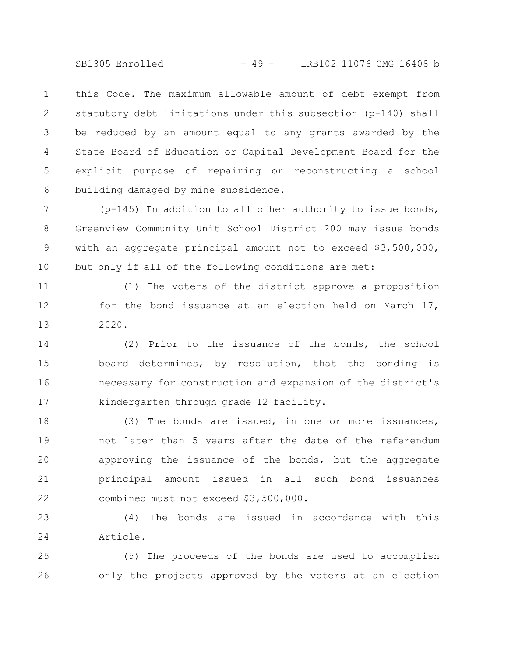SB1305 Enrolled - 49 - LRB102 11076 CMG 16408 b

this Code. The maximum allowable amount of debt exempt from statutory debt limitations under this subsection (p-140) shall be reduced by an amount equal to any grants awarded by the State Board of Education or Capital Development Board for the explicit purpose of repairing or reconstructing a school building damaged by mine subsidence. 1 2 3 4 5 6

(p-145) In addition to all other authority to issue bonds, Greenview Community Unit School District 200 may issue bonds with an aggregate principal amount not to exceed \$3,500,000, but only if all of the following conditions are met: 7 8 9 10

(1) The voters of the district approve a proposition for the bond issuance at an election held on March 17, 2020. 11 12 13

(2) Prior to the issuance of the bonds, the school board determines, by resolution, that the bonding is necessary for construction and expansion of the district's kindergarten through grade 12 facility. 14 15 16 17

(3) The bonds are issued, in one or more issuances, not later than 5 years after the date of the referendum approving the issuance of the bonds, but the aggregate principal amount issued in all such bond issuances combined must not exceed \$3,500,000. 18 19 20 21 22

(4) The bonds are issued in accordance with this Article. 23 24

(5) The proceeds of the bonds are used to accomplish only the projects approved by the voters at an election 25 26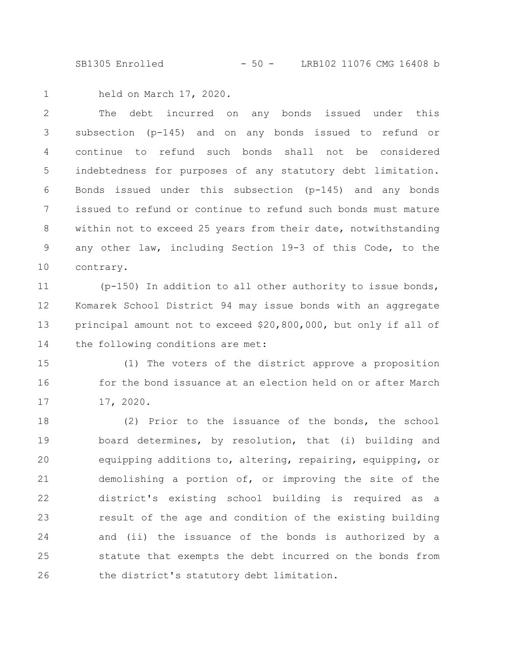SB1305 Enrolled - 50 - LRB102 11076 CMG 16408 b

held on March 17, 2020. 1

The debt incurred on any bonds issued under this subsection (p-145) and on any bonds issued to refund or continue to refund such bonds shall not be considered indebtedness for purposes of any statutory debt limitation. Bonds issued under this subsection (p-145) and any bonds issued to refund or continue to refund such bonds must mature within not to exceed 25 years from their date, notwithstanding any other law, including Section 19-3 of this Code, to the contrary. 2 3 4 5 6 7 8 9 10

(p-150) In addition to all other authority to issue bonds, Komarek School District 94 may issue bonds with an aggregate principal amount not to exceed \$20,800,000, but only if all of the following conditions are met: 11 12 13 14

(1) The voters of the district approve a proposition for the bond issuance at an election held on or after March 17, 2020. 15 16 17

(2) Prior to the issuance of the bonds, the school board determines, by resolution, that (i) building and equipping additions to, altering, repairing, equipping, or demolishing a portion of, or improving the site of the district's existing school building is required as a result of the age and condition of the existing building and (ii) the issuance of the bonds is authorized by a statute that exempts the debt incurred on the bonds from the district's statutory debt limitation. 18 19 20 21 22 23 24 25 26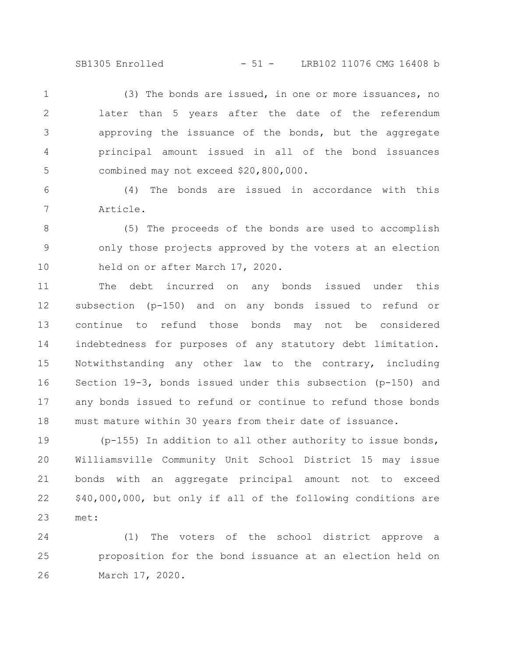SB1305 Enrolled - 51 - LRB102 11076 CMG 16408 b

(3) The bonds are issued, in one or more issuances, no later than 5 years after the date of the referendum approving the issuance of the bonds, but the aggregate principal amount issued in all of the bond issuances combined may not exceed \$20,800,000. 1 2 3 4 5

(4) The bonds are issued in accordance with this Article. 6 7

(5) The proceeds of the bonds are used to accomplish only those projects approved by the voters at an election held on or after March 17, 2020. 8 9 10

The debt incurred on any bonds issued under this subsection (p-150) and on any bonds issued to refund or continue to refund those bonds may not be considered indebtedness for purposes of any statutory debt limitation. Notwithstanding any other law to the contrary, including Section 19-3, bonds issued under this subsection (p-150) and any bonds issued to refund or continue to refund those bonds must mature within 30 years from their date of issuance. 11 12 13 14 15 16 17 18

(p-155) In addition to all other authority to issue bonds, Williamsville Community Unit School District 15 may issue bonds with an aggregate principal amount not to exceed \$40,000,000, but only if all of the following conditions are met: 19 20 21 22 23

(1) The voters of the school district approve a proposition for the bond issuance at an election held on March 17, 2020. 24 25 26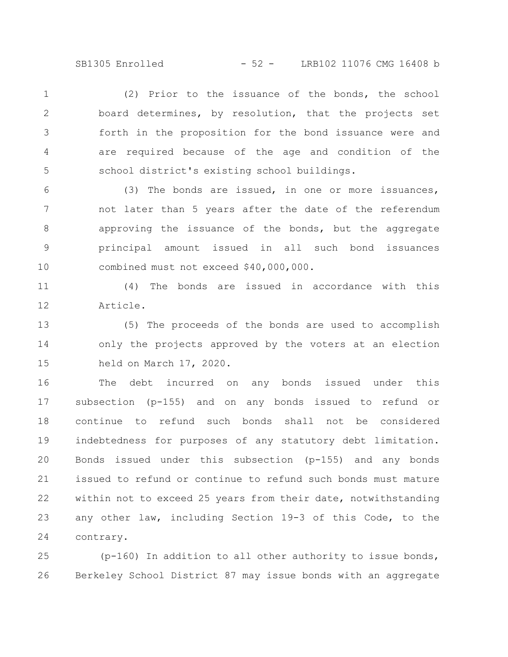SB1305 Enrolled - 52 - LRB102 11076 CMG 16408 b

(2) Prior to the issuance of the bonds, the school board determines, by resolution, that the projects set forth in the proposition for the bond issuance were and are required because of the age and condition of the school district's existing school buildings. 1 2 3 4 5

(3) The bonds are issued, in one or more issuances, not later than 5 years after the date of the referendum approving the issuance of the bonds, but the aggregate principal amount issued in all such bond issuances combined must not exceed \$40,000,000. 6 7 8 9 10

(4) The bonds are issued in accordance with this Article. 11 12

(5) The proceeds of the bonds are used to accomplish only the projects approved by the voters at an election held on March 17, 2020. 13 14 15

The debt incurred on any bonds issued under this subsection (p-155) and on any bonds issued to refund or continue to refund such bonds shall not be considered indebtedness for purposes of any statutory debt limitation. Bonds issued under this subsection (p-155) and any bonds issued to refund or continue to refund such bonds must mature within not to exceed 25 years from their date, notwithstanding any other law, including Section 19-3 of this Code, to the contrary. 16 17 18 19 20 21 22 23 24

 $(p-160)$  In addition to all other authority to issue bonds, Berkeley School District 87 may issue bonds with an aggregate 25 26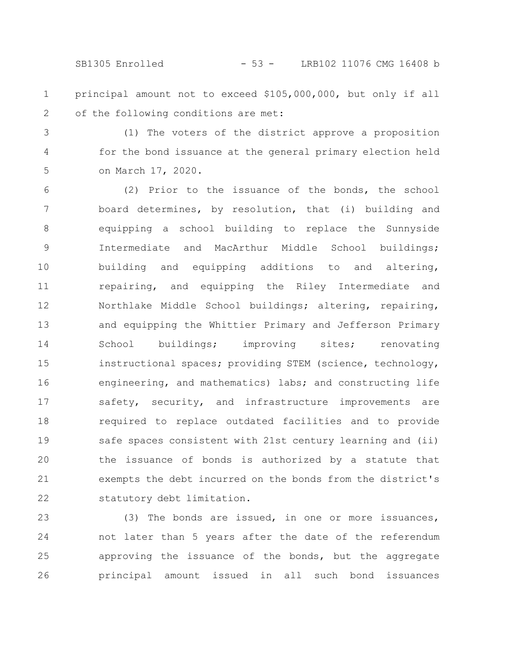SB1305 Enrolled - 53 - LRB102 11076 CMG 16408 b

- principal amount not to exceed \$105,000,000, but only if all of the following conditions are met: 1 2
- (1) The voters of the district approve a proposition for the bond issuance at the general primary election held on March 17, 2020. 3 4 5

(2) Prior to the issuance of the bonds, the school board determines, by resolution, that (i) building and equipping a school building to replace the Sunnyside Intermediate and MacArthur Middle School buildings; building and equipping additions to and altering, repairing, and equipping the Riley Intermediate and Northlake Middle School buildings; altering, repairing, and equipping the Whittier Primary and Jefferson Primary School buildings; improving sites; renovating instructional spaces; providing STEM (science, technology, engineering, and mathematics) labs; and constructing life safety, security, and infrastructure improvements are required to replace outdated facilities and to provide safe spaces consistent with 21st century learning and (ii) the issuance of bonds is authorized by a statute that exempts the debt incurred on the bonds from the district's statutory debt limitation. 6 7 8 9 10 11 12 13 14 15 16 17 18 19 20 21 22

(3) The bonds are issued, in one or more issuances, not later than 5 years after the date of the referendum approving the issuance of the bonds, but the aggregate principal amount issued in all such bond issuances 23 24 25 26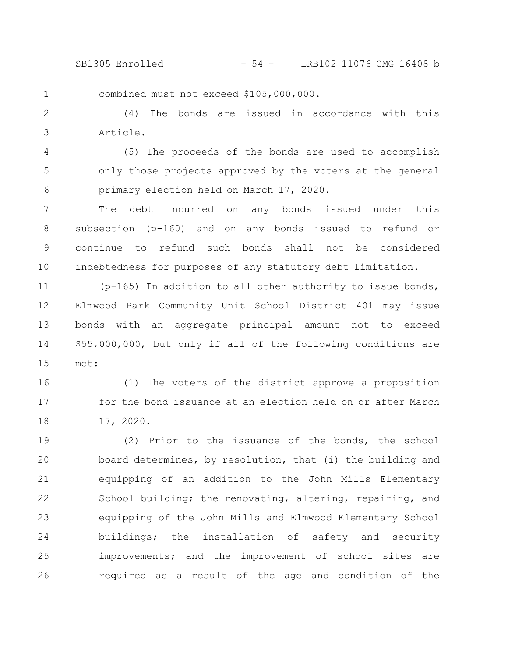SB1305 Enrolled - 54 - LRB102 11076 CMG 16408 b

combined must not exceed \$105,000,000.

1

(4) The bonds are issued in accordance with this Article. 2 3

(5) The proceeds of the bonds are used to accomplish only those projects approved by the voters at the general primary election held on March 17, 2020. 4 5 6

The debt incurred on any bonds issued under this subsection (p-160) and on any bonds issued to refund or continue to refund such bonds shall not be considered indebtedness for purposes of any statutory debt limitation. 7 8 9 10

 $(p-165)$  In addition to all other authority to issue bonds, Elmwood Park Community Unit School District 401 may issue bonds with an aggregate principal amount not to exceed \$55,000,000, but only if all of the following conditions are met: 11 12 13 14 15

(1) The voters of the district approve a proposition for the bond issuance at an election held on or after March 17, 2020. 16 17 18

(2) Prior to the issuance of the bonds, the school board determines, by resolution, that (i) the building and equipping of an addition to the John Mills Elementary School building; the renovating, altering, repairing, and equipping of the John Mills and Elmwood Elementary School buildings; the installation of safety and security improvements; and the improvement of school sites are required as a result of the age and condition of the 19 20 21 22 23 24 25 26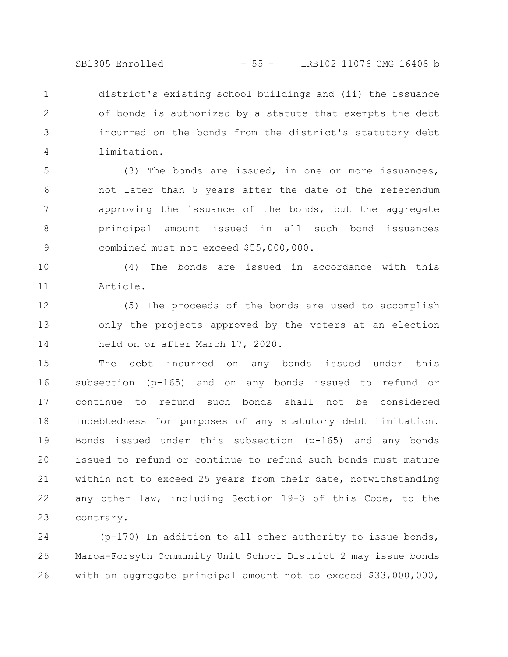SB1305 Enrolled - 55 - LRB102 11076 CMG 16408 b

district's existing school buildings and (ii) the issuance of bonds is authorized by a statute that exempts the debt incurred on the bonds from the district's statutory debt limitation. 1 2 3 4

(3) The bonds are issued, in one or more issuances, not later than 5 years after the date of the referendum approving the issuance of the bonds, but the aggregate principal amount issued in all such bond issuances combined must not exceed \$55,000,000. 5 6 7 8 9

(4) The bonds are issued in accordance with this Article. 10 11

(5) The proceeds of the bonds are used to accomplish only the projects approved by the voters at an election held on or after March 17, 2020. 12 13 14

The debt incurred on any bonds issued under this subsection (p-165) and on any bonds issued to refund or continue to refund such bonds shall not be considered indebtedness for purposes of any statutory debt limitation. Bonds issued under this subsection (p-165) and any bonds issued to refund or continue to refund such bonds must mature within not to exceed 25 years from their date, notwithstanding any other law, including Section 19-3 of this Code, to the contrary. 15 16 17 18 19 20 21 22 23

(p-170) In addition to all other authority to issue bonds, Maroa-Forsyth Community Unit School District 2 may issue bonds with an aggregate principal amount not to exceed \$33,000,000, 24 25 26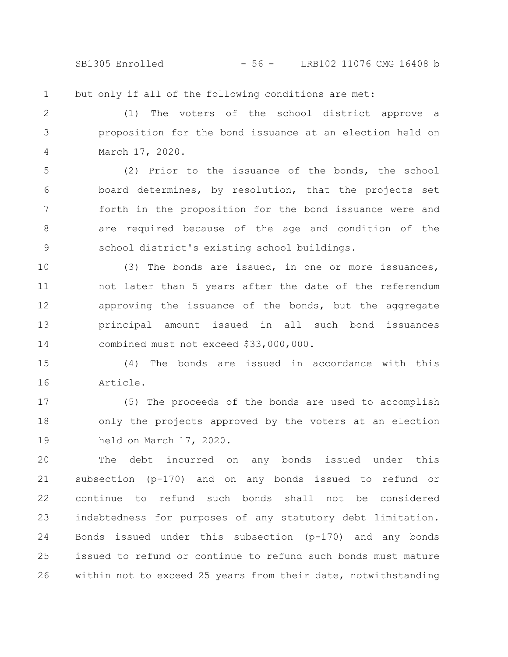SB1305 Enrolled - 56 - LRB102 11076 CMG 16408 b

but only if all of the following conditions are met: 1

(1) The voters of the school district approve a proposition for the bond issuance at an election held on March 17, 2020. 2 3 4

(2) Prior to the issuance of the bonds, the school board determines, by resolution, that the projects set forth in the proposition for the bond issuance were and are required because of the age and condition of the school district's existing school buildings. 5 6 7 8 9

(3) The bonds are issued, in one or more issuances, not later than 5 years after the date of the referendum approving the issuance of the bonds, but the aggregate principal amount issued in all such bond issuances combined must not exceed \$33,000,000. 10 11 12 13 14

(4) The bonds are issued in accordance with this Article. 15 16

(5) The proceeds of the bonds are used to accomplish only the projects approved by the voters at an election held on March 17, 2020. 17 18 19

The debt incurred on any bonds issued under this subsection (p-170) and on any bonds issued to refund or continue to refund such bonds shall not be considered indebtedness for purposes of any statutory debt limitation. Bonds issued under this subsection (p-170) and any bonds issued to refund or continue to refund such bonds must mature within not to exceed 25 years from their date, notwithstanding 20 21 22 23 24 25 26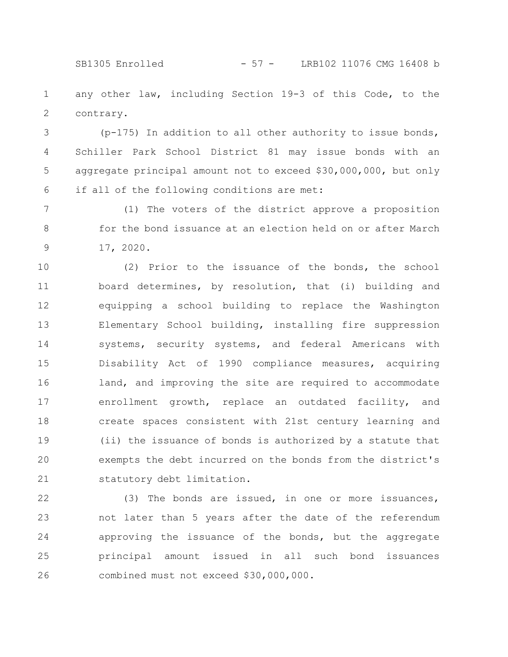SB1305 Enrolled - 57 - LRB102 11076 CMG 16408 b

any other law, including Section 19-3 of this Code, to the contrary. 1 2

(p-175) In addition to all other authority to issue bonds, Schiller Park School District 81 may issue bonds with an aggregate principal amount not to exceed \$30,000,000, but only if all of the following conditions are met: 3 4 5 6

(1) The voters of the district approve a proposition for the bond issuance at an election held on or after March 17, 2020. 7 8 9

(2) Prior to the issuance of the bonds, the school board determines, by resolution, that (i) building and equipping a school building to replace the Washington Elementary School building, installing fire suppression systems, security systems, and federal Americans with Disability Act of 1990 compliance measures, acquiring land, and improving the site are required to accommodate enrollment growth, replace an outdated facility, and create spaces consistent with 21st century learning and (ii) the issuance of bonds is authorized by a statute that exempts the debt incurred on the bonds from the district's statutory debt limitation. 10 11 12 13 14 15 16 17 18 19 20 21

(3) The bonds are issued, in one or more issuances, not later than 5 years after the date of the referendum approving the issuance of the bonds, but the aggregate principal amount issued in all such bond issuances combined must not exceed \$30,000,000. 22 23 24 25 26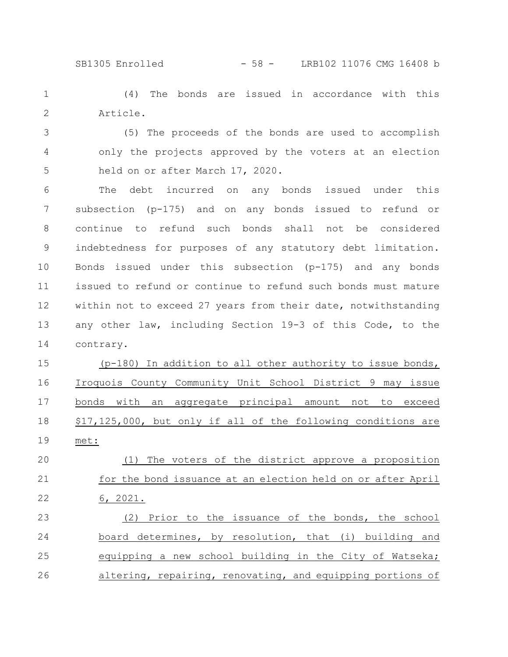SB1305 Enrolled - 58 - LRB102 11076 CMG 16408 b

(4) The bonds are issued in accordance with this Article. 1 2

(5) The proceeds of the bonds are used to accomplish only the projects approved by the voters at an election held on or after March 17, 2020. 3 4 5

The debt incurred on any bonds issued under this subsection (p-175) and on any bonds issued to refund or continue to refund such bonds shall not be considered indebtedness for purposes of any statutory debt limitation. Bonds issued under this subsection (p-175) and any bonds issued to refund or continue to refund such bonds must mature within not to exceed 27 years from their date, notwithstanding any other law, including Section 19-3 of this Code, to the contrary. 6 7 8 9 10 11 12 13 14

(p-180) In addition to all other authority to issue bonds, Iroquois County Community Unit School District 9 may issue bonds with an aggregate principal amount not to exceed \$17,125,000, but only if all of the following conditions are met: 15 16 17 18 19

(1) The voters of the district approve a proposition for the bond issuance at an election held on or after April 6, 2021. 20 21 22

(2) Prior to the issuance of the bonds, the school board determines, by resolution, that (i) building and equipping a new school building in the City of Watseka; altering, repairing, renovating, and equipping portions of 23 24 25 26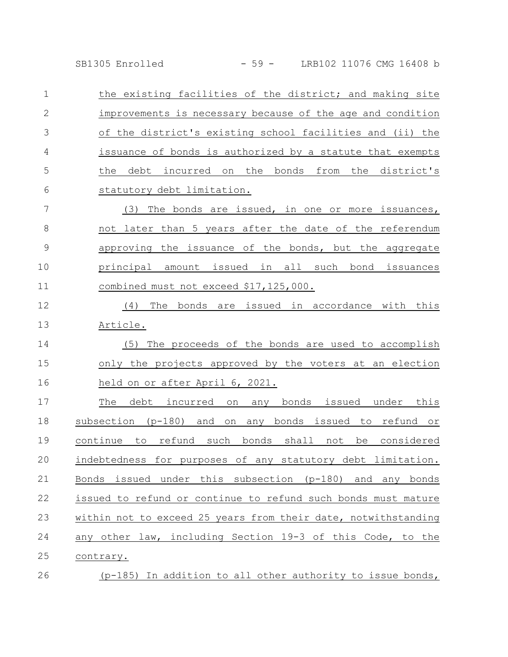SB1305 Enrolled - 59 - LRB102 11076 CMG 16408 b

the existing facilities of the district; and making site improvements is necessary because of the age and condition of the district's existing school facilities and (ii) the issuance of bonds is authorized by a statute that exempts the debt incurred on the bonds from the district's statutory debt limitation. 1 2 3 4 5 6

(3) The bonds are issued, in one or more issuances, not later than 5 years after the date of the referendum approving the issuance of the bonds, but the aggregate principal amount issued in all such bond issuances combined must not exceed \$17,125,000. 7 8 9 10 11

(4) The bonds are issued in accordance with this Article. 12 13

(5) The proceeds of the bonds are used to accomplish only the projects approved by the voters at an election held on or after April 6, 2021. 14 15 16

The debt incurred on any bonds issued under this subsection (p-180) and on any bonds issued to refund or continue to refund such bonds shall not be considered indebtedness for purposes of any statutory debt limitation. Bonds issued under this subsection (p-180) and any bonds issued to refund or continue to refund such bonds must mature within not to exceed 25 years from their date, notwithstanding any other law, including Section 19-3 of this Code, to the contrary. 17 18 19 20 21 22 23 24 25

(p-185) In addition to all other authority to issue bonds, 26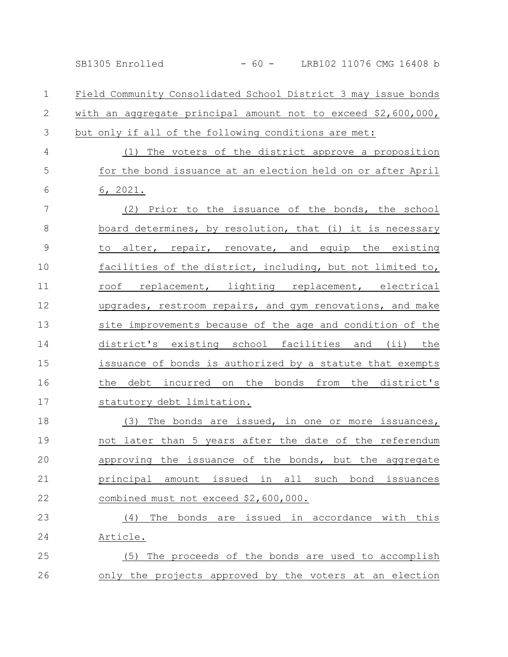Field Community Consolidated School District 3 may issue bonds with an aggregate principal amount not to exceed \$2,600,000, but only if all of the following conditions are met: 1 2 3

(1) The voters of the district approve a proposition for the bond issuance at an election held on or after April 6, 2021. 4 5 6

(2) Prior to the issuance of the bonds, the school board determines, by resolution, that (i) it is necessary to alter, repair, renovate, and equip the existing facilities of the district, including, but not limited to, roof replacement, lighting replacement, electrical upgrades, restroom repairs, and gym renovations, and make site improvements because of the age and condition of the district's existing school facilities and (ii) the issuance of bonds is authorized by a statute that exempts the debt incurred on the bonds from the district's statutory debt limitation. 7 8 9 10 11 12 13 14 15 16 17

(3) The bonds are issued, in one or more issuances, not later than 5 years after the date of the referendum approving the issuance of the bonds, but the aggregate principal amount issued in all such bond issuances combined must not exceed \$2,600,000. 18 19 20 21 22

(4) The bonds are issued in accordance with this Article. (5) The proceeds of the bonds are used to accomplish 23 24 25

only the projects approved by the voters at an election 26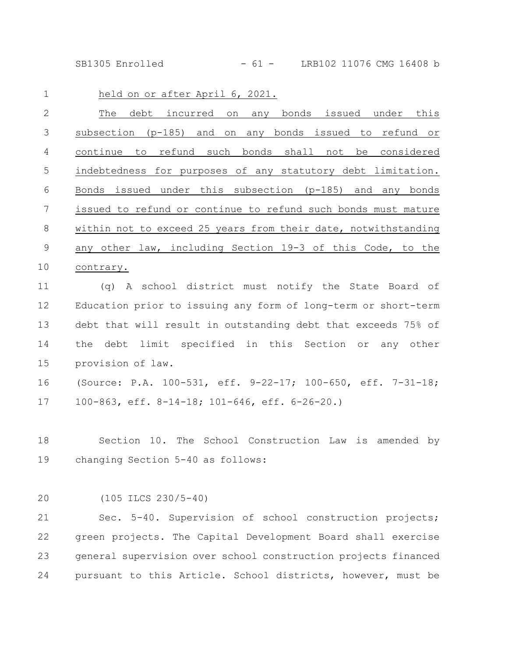SB1305 Enrolled - 61 - LRB102 11076 CMG 16408 b

| $\mathbf 1$     | held on or after April 6, 2021.                                |
|-----------------|----------------------------------------------------------------|
| $\mathbf{2}$    | The<br>debt incurred on any bonds issued under this            |
| 3               | subsection (p-185) and on any bonds issued to refund or        |
| $\overline{4}$  | continue to refund such bonds shall not be considered          |
| 5               | indebtedness for purposes of any statutory debt limitation.    |
| 6               | Bonds issued under this subsection (p-185) and any bonds       |
| $7\phantom{.0}$ | issued to refund or continue to refund such bonds must mature  |
| 8               | within not to exceed 25 years from their date, notwithstanding |
| $\mathsf 9$     | any other law, including Section 19-3 of this Code, to the     |
| 10              | contrary.                                                      |
| 11              | (q) A school district must notify the State Board of           |
| 12              | Education prior to issuing any form of long-term or short-term |
| 13              | debt that will result in outstanding debt that exceeds 75% of  |
| 14              | debt limit specified in this Section or any other<br>the       |
| 15              | provision of law.                                              |
| 16              | (Source: P.A. 100-531, eff. 9-22-17; 100-650, eff. 7-31-18;    |
| 17              | 100-863, eff. 8-14-18; 101-646, eff. 6-26-20.)                 |
|                 |                                                                |
| 18              | Section 10. The School Construction Law is amended by          |
| 19              | changing Section 5-40 as follows:                              |
|                 |                                                                |

20

(105 ILCS 230/5-40)

Sec. 5-40. Supervision of school construction projects; green projects. The Capital Development Board shall exercise general supervision over school construction projects financed pursuant to this Article. School districts, however, must be 21 22 23 24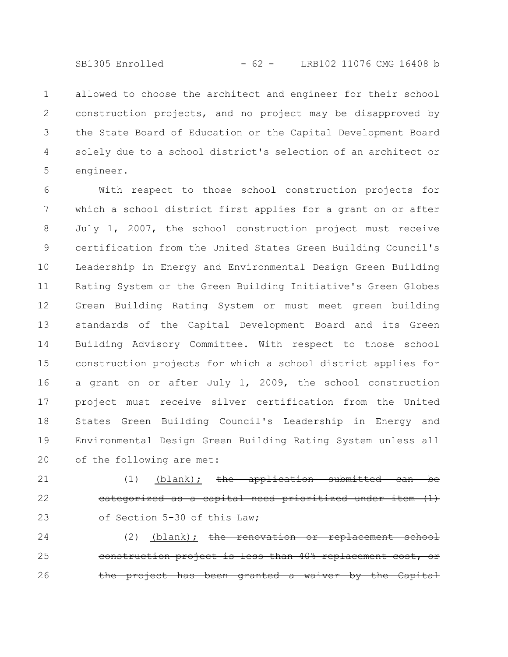allowed to choose the architect and engineer for their school construction projects, and no project may be disapproved by the State Board of Education or the Capital Development Board solely due to a school district's selection of an architect or engineer. 1 2 3 4 5

With respect to those school construction projects for which a school district first applies for a grant on or after July 1, 2007, the school construction project must receive certification from the United States Green Building Council's Leadership in Energy and Environmental Design Green Building Rating System or the Green Building Initiative's Green Globes Green Building Rating System or must meet green building standards of the Capital Development Board and its Green Building Advisory Committee. With respect to those school construction projects for which a school district applies for a grant on or after July 1, 2009, the school construction project must receive silver certification from the United States Green Building Council's Leadership in Energy and Environmental Design Green Building Rating System unless all of the following are met: 6 7 8 9 10 11 12 13 14 15 16 17 18 19 20

(1) (blank);  $the \quad application$ eategorized as a capital need prioritized Section 5-30 of this Law; 21 22 23

(2) (blank); <del>the renovation or replacement</del> construction project is less than 40% replacement project has been granted a waiver 24 25 26